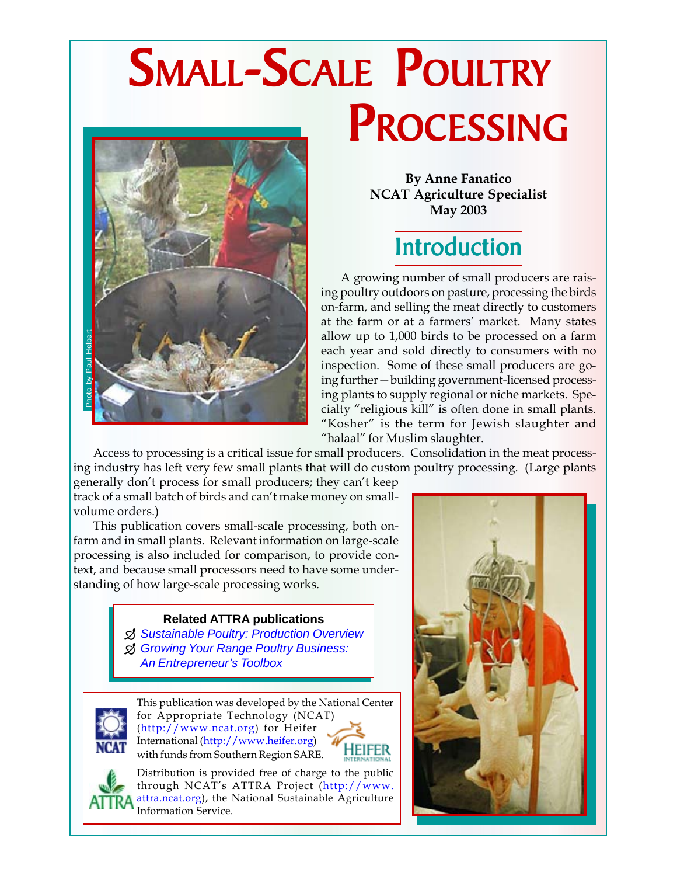# SMALL-SCALE POULTRY PROCESSING



**By Anne Fanatico NCAT Agriculture Specialist May 2003**

## Introduction

A growing number of small producers are raising poultry outdoors on pasture, processing the birds on-farm, and selling the meat directly to customers at the farm or at a farmers' market. Many states allow up to 1,000 birds to be processed on a farm each year and sold directly to consumers with no inspection. Some of these small producers are going further—building government-licensed processing plants to supply regional or niche markets. Specialty "religious kill" is often done in small plants. "Kosher" is the term for Jewish slaughter and "halaal" for Muslim slaughter.

Access to processing is a critical issue for small producers. Consolidation in the meat processing industry has left very few small plants that will do custom poultry processing. (Large plants

generally don't process for small producers; they can't keep track of a small batch of birds and can't make money on smallvolume orders.)

This publication covers small-scale processing, both onfarm and in small plants. Relevant information on large-scale processing is also included for comparison, to provide context, and because small processors need to have some understanding of how large-scale processing works.

#### **Related ATTRA publications**

- ¶ *Sustainable Poultry: Production Overview*
- ¶ *Growing Your Range Poultry Business: An Entrepreneur's Toolbox*

This publication was developed by the National Center for Appropriate Technology (NCAT) (http://www.ncat.org) for Heifer International (http://www.heifer.org) Heifer with funds from Southern Region SARE.

Distribution is provided free of charge to the public through NCAT's ATTRA Project (http://www. attra.ncat.org), the National Sustainable Agriculture Information Service.



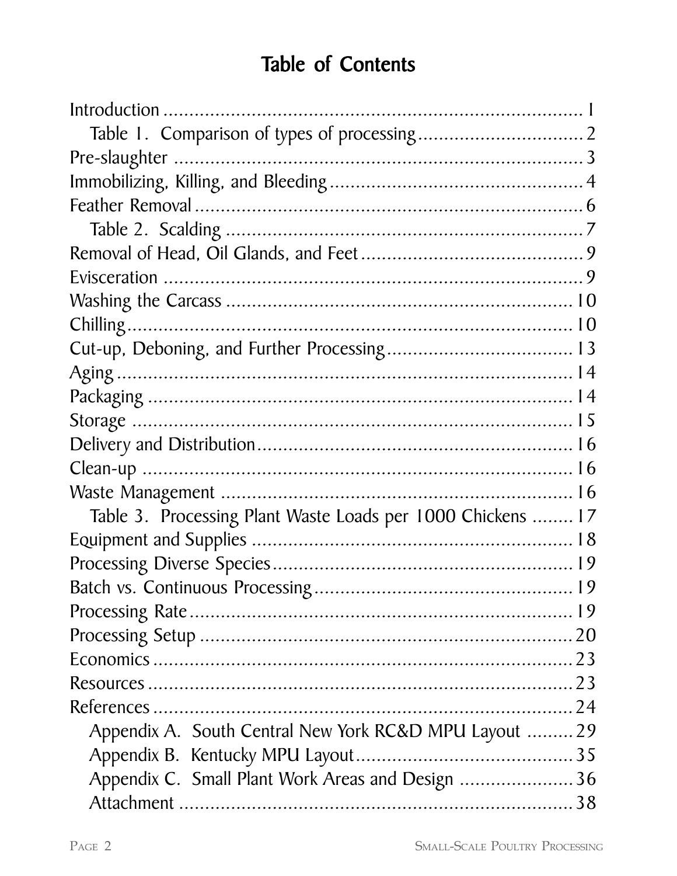### Table of Contents

| Table 3. Processing Plant Waste Loads per 1000 Chickens  17 |  |
|-------------------------------------------------------------|--|
|                                                             |  |
|                                                             |  |
|                                                             |  |
|                                                             |  |
|                                                             |  |
|                                                             |  |
|                                                             |  |
|                                                             |  |
| Appendix A. South Central New York RC&D MPU Layout 29       |  |
|                                                             |  |
| Appendix C. Small Plant Work Areas and Design  36           |  |
|                                                             |  |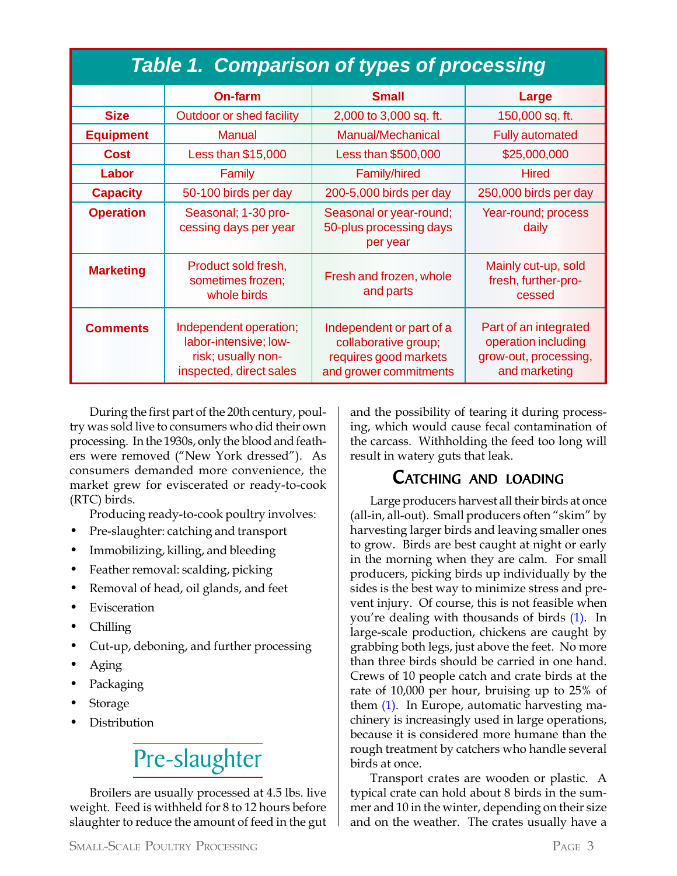| <b>Table 1. Comparison of types of processing</b> |                                                                                                  |                                                                                                     |                                                                                        |  |  |  |
|---------------------------------------------------|--------------------------------------------------------------------------------------------------|-----------------------------------------------------------------------------------------------------|----------------------------------------------------------------------------------------|--|--|--|
|                                                   | <b>On-farm</b>                                                                                   | <b>Small</b>                                                                                        | Large                                                                                  |  |  |  |
| <b>Size</b>                                       | <b>Outdoor or shed facility</b>                                                                  | 2,000 to 3,000 sq. ft.                                                                              | 150,000 sq. ft.                                                                        |  |  |  |
| <b>Equipment</b>                                  | <b>Manual</b>                                                                                    | <b>Manual/Mechanical</b>                                                                            | <b>Fully automated</b>                                                                 |  |  |  |
| <b>Cost</b>                                       | Less than \$15,000                                                                               | Less than \$500,000                                                                                 | \$25,000,000                                                                           |  |  |  |
| Labor                                             | Family                                                                                           | Family/hired                                                                                        | <b>Hired</b>                                                                           |  |  |  |
| <b>Capacity</b>                                   | 50-100 birds per day                                                                             | 200-5,000 birds per day                                                                             | 250,000 birds per day                                                                  |  |  |  |
| <b>Operation</b>                                  | Seasonal; 1-30 pro-<br>cessing days per year                                                     | Seasonal or year-round;<br>50-plus processing days<br>per year                                      | Year-round; process<br>daily                                                           |  |  |  |
| <b>Marketing</b>                                  | Product sold fresh,<br>sometimes frozen;<br>whole birds                                          | Fresh and frozen, whole<br>and parts                                                                | Mainly cut-up, sold<br>fresh, further-pro-<br>cessed                                   |  |  |  |
| <b>Comments</b>                                   | Independent operation;<br>labor-intensive; low-<br>risk; usually non-<br>inspected, direct sales | Independent or part of a<br>collaborative group;<br>requires good markets<br>and grower commitments | Part of an integrated<br>operation including<br>grow-out, processing,<br>and marketing |  |  |  |

During the first part of the 20th century, poultry was sold live to consumers who did their own processing. In the 1930s, only the blood and feathers were removed ("New York dressed"). As consumers demanded more convenience, the market grew for eviscerated or ready-to-cook (RTC) birds.

Producing ready-to-cook poultry involves:

- Pre-slaughter: catching and transport
- Immobilizing, killing, and bleeding
- Feather removal: scalding, picking
- Removal of head, oil glands, and feet
- **Evisceration**
- Chilling
- Cut-up, deboning, and further processing
- Aging
- Packaging
- **Storage**
- Distribution

## Pre-slaughter

Broilers are usually processed at 4.5 lbs. live weight. Feed is withheld for 8 to 12 hours before slaughter to reduce the amount of feed in the gut and the possibility of tearing it during processing, which would cause fecal contamination of the carcass. Withholding the feed too long will result in watery guts that leak.

### CATCHING AND LOADING

Large producers harvest all their birds at once (all-in, all-out). Small producers often "skim" by harvesting larger birds and leaving smaller ones to grow. Birds are best caught at night or early in the morning when they are calm. For small producers, picking birds up individually by the sides is the best way to minimize stress and prevent injury. Of course, this is not feasible when you're dealing with thousands of birds (1). In large-scale production, chickens are caught by grabbing both legs, just above the feet. No more than three birds should be carried in one hand. Crews of 10 people catch and crate birds at the rate of 10,000 per hour, bruising up to 25% of them  $(1)$ . In Europe, automatic harvesting machinery is increasingly used in large operations, because it is considered more humane than the rough treatment by catchers who handle several birds at once.

Transport crates are wooden or plastic. A typical crate can hold about 8 birds in the summer and 10 in the winter, depending on their size and on the weather. The crates usually have a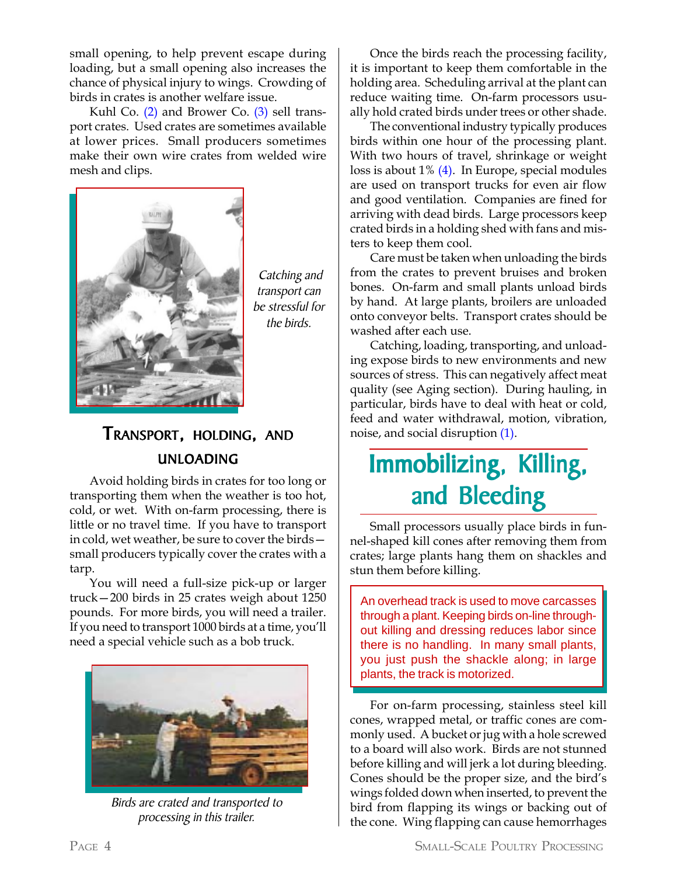small opening, to help prevent escape during loading, but a small opening also increases the chance of physical injury to wings. Crowding of birds in crates is another welfare issue.

Kuhl Co.  $(2)$  and Brower Co.  $(3)$  sell transport crates. Used crates are sometimes available at lower prices. Small producers sometimes make their own wire crates from welded wire mesh and clips.



 Catching and transport can be stressful for the birds.

### TRANSPORT, HOLDING, AND UNLOADING

Avoid holding birds in crates for too long or transporting them when the weather is too hot, cold, or wet. With on-farm processing, there is little or no travel time. If you have to transport in cold, wet weather, be sure to cover the birds small producers typically cover the crates with a tarp.

You will need a full-size pick-up or larger truck—200 birds in 25 crates weigh about 1250 pounds. For more birds, you will need a trailer. If you need to transport 1000 birds at a time, you'll need a special vehicle such as a bob truck.



Birds are crated and transported to processing in this trailer.

Once the birds reach the processing facility, it is important to keep them comfortable in the holding area. Scheduling arrival at the plant can reduce waiting time. On-farm processors usually hold crated birds under trees or other shade.

The conventional industry typically produces birds within one hour of the processing plant. With two hours of travel, shrinkage or weight loss is about  $1\%$  (4). In Europe, special modules are used on transport trucks for even air flow and good ventilation. Companies are fined for arriving with dead birds. Large processors keep crated birds in a holding shed with fans and misters to keep them cool.

Care must be taken when unloading the birds from the crates to prevent bruises and broken bones. On-farm and small plants unload birds by hand. At large plants, broilers are unloaded onto conveyor belts. Transport crates should be washed after each use.

Catching, loading, transporting, and unloading expose birds to new environments and new sources of stress. This can negatively affect meat quality (see Aging section). During hauling, in particular, birds have to deal with heat or cold, feed and water withdrawal, motion, vibration, noise, and social disruption (1).

## Immobilizing, Killing, and Bleeding

Small processors usually place birds in funnel-shaped kill cones after removing them from crates; large plants hang them on shackles and stun them before killing.

An overhead track is used to move carcasses through a plant. Keeping birds on-line throughout killing and dressing reduces labor since there is no handling. In many small plants, you just push the shackle along; in large plants, the track is motorized.

For on-farm processing, stainless steel kill cones, wrapped metal, or traffic cones are commonly used. A bucket or jug with a hole screwed to a board will also work. Birds are not stunned before killing and will jerk a lot during bleeding. Cones should be the proper size, and the bird's wings folded down when inserted, to prevent the bird from flapping its wings or backing out of the cone. Wing flapping can cause hemorrhages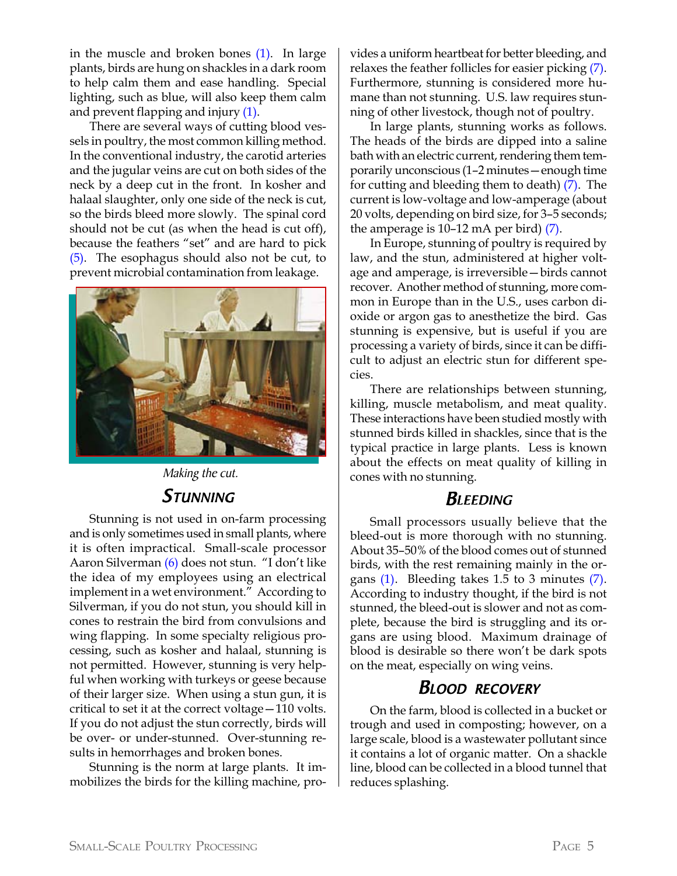in the muscle and broken bones (1). In large plants, birds are hung on shackles in a dark room to help calm them and ease handling. Special lighting, such as blue, will also keep them calm and prevent flapping and injury (1).

There are several ways of cutting blood vessels in poultry, the most common killing method. In the conventional industry, the carotid arteries and the jugular veins are cut on both sides of the neck by a deep cut in the front. In kosher and halaal slaughter, only one side of the neck is cut, so the birds bleed more slowly. The spinal cord should not be cut (as when the head is cut off), because the feathers "set" and are hard to pick (5). The esophagus should also not be cut, to prevent microbial contamination from leakage.



Making the cut.

### STUNNING

Stunning is not used in on-farm processing and is only sometimes used in small plants, where it is often impractical. Small-scale processor Aaron Silverman (6) does not stun. "I don't like the idea of my employees using an electrical implement in a wet environment." According to Silverman, if you do not stun, you should kill in cones to restrain the bird from convulsions and wing flapping. In some specialty religious processing, such as kosher and halaal, stunning is not permitted. However, stunning is very helpful when working with turkeys or geese because of their larger size. When using a stun gun, it is critical to set it at the correct voltage—110 volts. If you do not adjust the stun correctly, birds will be over- or under-stunned. Over-stunning results in hemorrhages and broken bones.

Stunning is the norm at large plants. It immobilizes the birds for the killing machine, pro-

vides a uniform heartbeat for better bleeding, and relaxes the feather follicles for easier picking (7). Furthermore, stunning is considered more humane than not stunning. U.S. law requires stunning of other livestock, though not of poultry.

In large plants, stunning works as follows. The heads of the birds are dipped into a saline bath with an electric current, rendering them temporarily unconscious (1–2 minutes—enough time for cutting and bleeding them to death) (7). The current is low-voltage and low-amperage (about 20 volts, depending on bird size, for 3–5 seconds; the amperage is 10–12 mA per bird) (7).

In Europe, stunning of poultry is required by law, and the stun, administered at higher voltage and amperage, is irreversible—birds cannot recover. Another method of stunning, more common in Europe than in the U.S., uses carbon dioxide or argon gas to anesthetize the bird. Gas stunning is expensive, but is useful if you are processing a variety of birds, since it can be difficult to adjust an electric stun for different species.

There are relationships between stunning, killing, muscle metabolism, and meat quality. These interactions have been studied mostly with stunned birds killed in shackles, since that is the typical practice in large plants. Less is known about the effects on meat quality of killing in cones with no stunning.

#### **BLEEDING**

Small processors usually believe that the bleed-out is more thorough with no stunning. About 35–50% of the blood comes out of stunned birds, with the rest remaining mainly in the organs  $(1)$ . Bleeding takes 1.5 to 3 minutes  $(7)$ . According to industry thought, if the bird is not stunned, the bleed-out is slower and not as complete, because the bird is struggling and its organs are using blood. Maximum drainage of blood is desirable so there won't be dark spots on the meat, especially on wing veins.

#### BLOOD RECOVERY

On the farm, blood is collected in a bucket or trough and used in composting; however, on a large scale, blood is a wastewater pollutant since it contains a lot of organic matter. On a shackle line, blood can be collected in a blood tunnel that reduces splashing.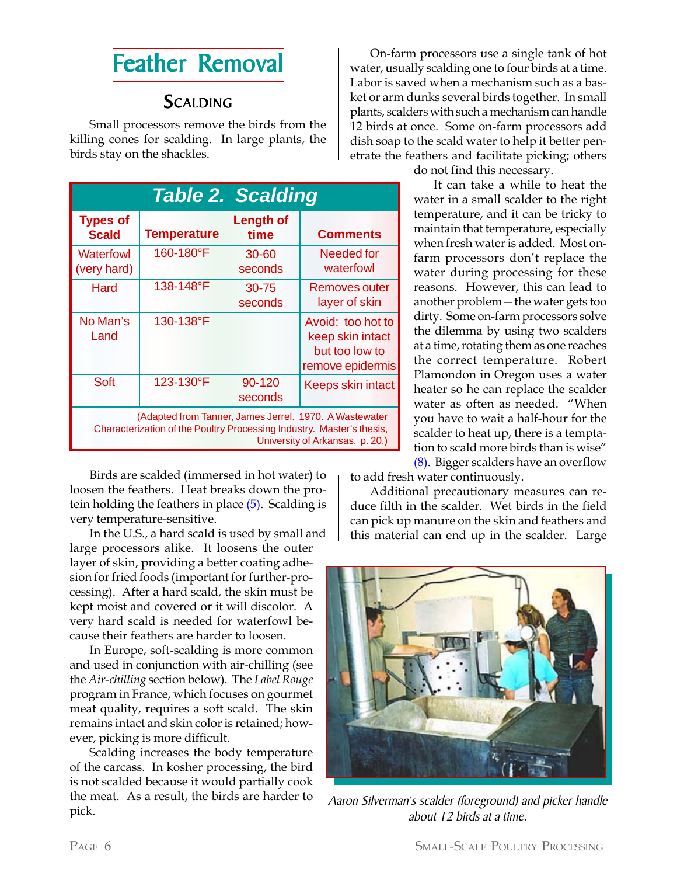### Feather Removal

#### **SCALDING**

Small processors remove the birds from the killing cones for scalding. In large plants, the birds stay on the shackles.

| <b>Table 2. Scalding</b>                                                                                                                                           |                    |                          |                                                                             |  |  |  |
|--------------------------------------------------------------------------------------------------------------------------------------------------------------------|--------------------|--------------------------|-----------------------------------------------------------------------------|--|--|--|
| <b>Types of</b><br><b>Scald</b>                                                                                                                                    | <b>Temperature</b> | <b>Length of</b><br>time | <b>Comments</b>                                                             |  |  |  |
| Waterfowl<br>(very hard)                                                                                                                                           | 160-180°F          | $30 - 60$<br>seconds     | Needed for<br>waterfowl                                                     |  |  |  |
| Hard                                                                                                                                                               | 138-148°F          | $30 - 75$<br>seconds     | Removes outer<br>layer of skin                                              |  |  |  |
| No Man's<br>Land                                                                                                                                                   | 130-138°F          |                          | Avoid: too hot to<br>keep skin intact<br>but too low to<br>remove epidermis |  |  |  |
| Soft                                                                                                                                                               | 123-130°F          | 90-120<br>seconds        | <b>Keeps skin intact</b>                                                    |  |  |  |
| (Adapted from Tanner, James Jerrel. 1970. A Wastewater<br>Characterization of the Poultry Processing Industry. Master's thesis,<br>University of Arkansas. p. 20.) |                    |                          |                                                                             |  |  |  |

Birds are scalded (immersed in hot water) to loosen the feathers. Heat breaks down the protein holding the feathers in place  $(5)$ . Scalding is very temperature-sensitive.

In the U.S., a hard scald is used by small and large processors alike. It loosens the outer layer of skin, providing a better coating adhesion for fried foods (important for further-processing). After a hard scald, the skin must be kept moist and covered or it will discolor. A very hard scald is needed for waterfowl because their feathers are harder to loosen.

In Europe, soft-scalding is more common and used in conjunction with air-chilling (see the *Air-chilling* section below). The *Label Rouge* program in France, which focuses on gourmet meat quality, requires a soft scald. The skin remains intact and skin color is retained; however, picking is more difficult.

Scalding increases the body temperature of the carcass. In kosher processing, the bird is not scalded because it would partially cook the meat. As a result, the birds are harder to pick.

On-farm processors use a single tank of hot water, usually scalding one to four birds at a time. Labor is saved when a mechanism such as a basket or arm dunks several birds together. In small plants, scalders with such a mechanism can handle 12 birds at once. Some on-farm processors add dish soap to the scald water to help it better penetrate the feathers and facilitate picking; others

do not find this necessary.

It can take a while to heat the water in a small scalder to the right temperature, and it can be tricky to maintain that temperature, especially when fresh water is added. Most onfarm processors don't replace the water during processing for these reasons. However, this can lead to another problem—the water gets too dirty. Some on-farm processors solve the dilemma by using two scalders at a time, rotating them as one reaches the correct temperature. Robert Plamondon in Oregon uses a water heater so he can replace the scalder water as often as needed. "When you have to wait a half-hour for the scalder to heat up, there is a temptation to scald more birds than is wise" (8). Bigger scalders have an overflow

to add fresh water continuously.

Additional precautionary measures can reduce filth in the scalder. Wet birds in the field can pick up manure on the skin and feathers and this material can end up in the scalder. Large



Aaron Silverman's scalder (foreground) and picker handle about 12 birds at a time.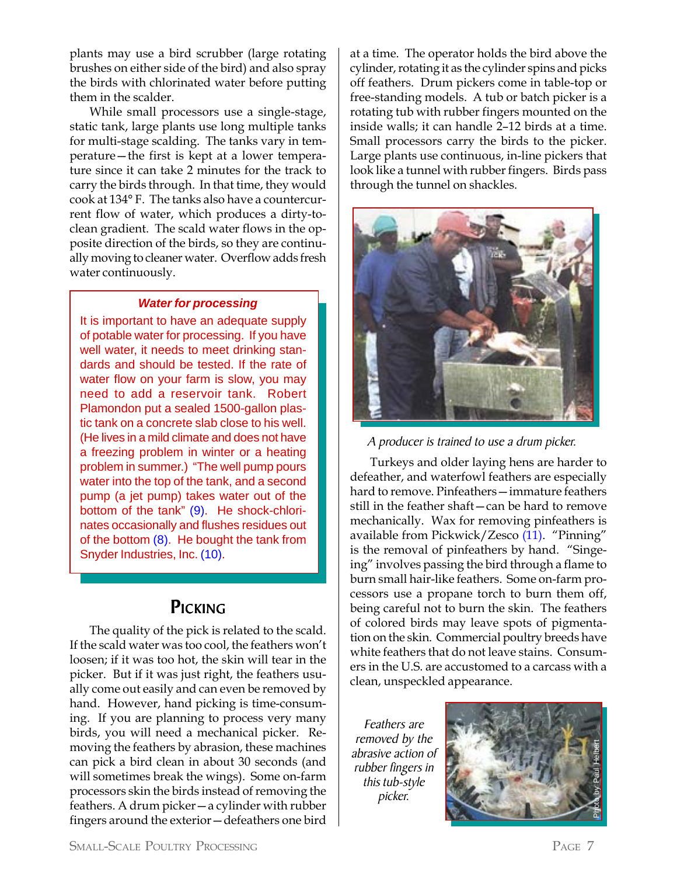plants may use a bird scrubber (large rotating brushes on either side of the bird) and also spray the birds with chlorinated water before putting them in the scalder.

While small processors use a single-stage, static tank, large plants use long multiple tanks for multi-stage scalding. The tanks vary in temperature—the first is kept at a lower temperature since it can take 2 minutes for the track to carry the birds through. In that time, they would cook at 134° F. The tanks also have a countercurrent flow of water, which produces a dirty-toclean gradient. The scald water flows in the opposite direction of the birds, so they are continually moving to cleaner water. Overflow adds fresh water continuously.

#### *Water for processing*

It is important to have an adequate supply of potable water for processing. If you have well water, it needs to meet drinking standards and should be tested. If the rate of water flow on your farm is slow, you may need to add a reservoir tank. Robert Plamondon put a sealed 1500-gallon plastic tank on a concrete slab close to his well. (He lives in a mild climate and does not have a freezing problem in winter or a heating problem in summer.) "The well pump pours water into the top of the tank, and a second pump (a jet pump) takes water out of the bottom of the tank" (9). He shock-chlorinates occasionally and flushes residues out of the bottom (8). He bought the tank from Snyder Industries, Inc. (10).

#### PICKING

The quality of the pick is related to the scald. If the scald water was too cool, the feathers won't loosen; if it was too hot, the skin will tear in the picker. But if it was just right, the feathers usually come out easily and can even be removed by hand. However, hand picking is time-consuming. If you are planning to process very many birds, you will need a mechanical picker. Removing the feathers by abrasion, these machines can pick a bird clean in about 30 seconds (and will sometimes break the wings). Some on-farm processors skin the birds instead of removing the feathers. A drum picker—a cylinder with rubber fingers around the exterior—defeathers one bird at a time. The operator holds the bird above the cylinder, rotating it as the cylinder spins and picks off feathers. Drum pickers come in table-top or free-standing models. A tub or batch picker is a rotating tub with rubber fingers mounted on the inside walls; it can handle 2–12 birds at a time. Small processors carry the birds to the picker. Large plants use continuous, in-line pickers that look like a tunnel with rubber fingers. Birds pass through the tunnel on shackles.



A producer is trained to use a drum picker.

Turkeys and older laying hens are harder to defeather, and waterfowl feathers are especially hard to remove. Pinfeathers—immature feathers still in the feather shaft—can be hard to remove mechanically. Wax for removing pinfeathers is available from Pickwick/Zesco (11). "Pinning" is the removal of pinfeathers by hand. "Singeing" involves passing the bird through a flame to burn small hair-like feathers. Some on-farm processors use a propane torch to burn them off, being careful not to burn the skin. The feathers of colored birds may leave spots of pigmentation on the skin. Commercial poultry breeds have white feathers that do not leave stains. Consumers in the U.S. are accustomed to a carcass with a clean, unspeckled appearance.

Feathers are removed by the abrasive action of rubber fingers in this tub-style picker.

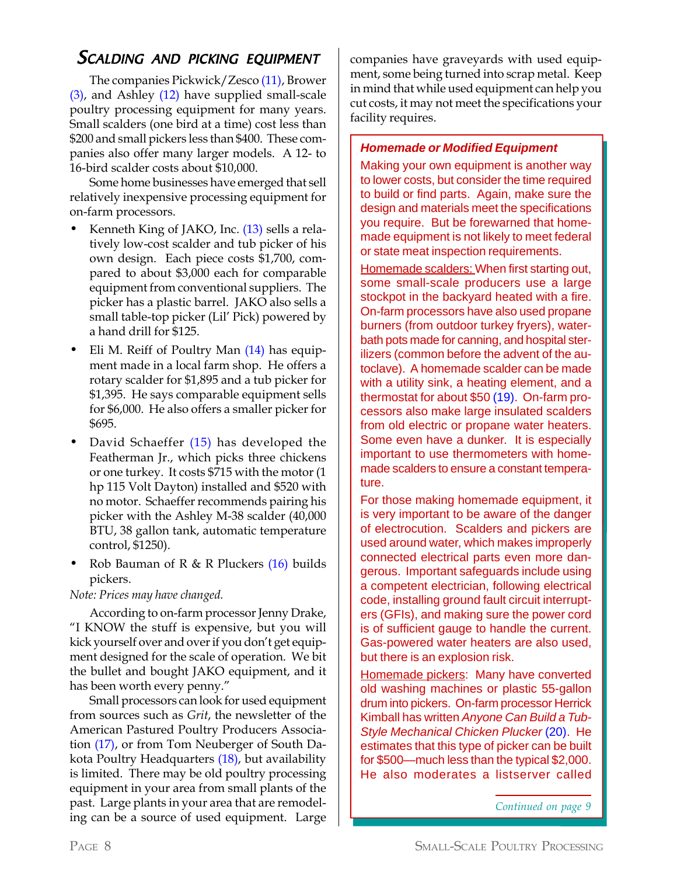### SCALDING AND PICKING EQUIPMENT

The companies Pickwick/Zesco (11), Brower (3), and Ashley (12) have supplied small-scale poultry processing equipment for many years. Small scalders (one bird at a time) cost less than \$200 and small pickers less than \$400. These companies also offer many larger models. A 12- to 16-bird scalder costs about \$10,000.

Some home businesses have emerged that sell relatively inexpensive processing equipment for on-farm processors.

- Kenneth King of JAKO, Inc. (13) sells a relatively low-cost scalder and tub picker of his own design. Each piece costs \$1,700, compared to about \$3,000 each for comparable equipment from conventional suppliers. The picker has a plastic barrel. JAKO also sells a small table-top picker (Lil' Pick) powered by a hand drill for \$125.
- Eli M. Reiff of Poultry Man (14) has equipment made in a local farm shop. He offers a rotary scalder for \$1,895 and a tub picker for \$1,395. He says comparable equipment sells for \$6,000. He also offers a smaller picker for \$695.
- David Schaeffer (15) has developed the Featherman Jr., which picks three chickens or one turkey. It costs \$715 with the motor (1 hp 115 Volt Dayton) installed and \$520 with no motor. Schaeffer recommends pairing his picker with the Ashley M-38 scalder (40,000 BTU, 38 gallon tank, automatic temperature control, \$1250).
- Rob Bauman of R  $\&$  R Pluckers (16) builds pickers.

*Note: Prices may have changed.*

According to on-farm processor Jenny Drake, "I KNOW the stuff is expensive, but you will kick yourself over and over if you don't get equipment designed for the scale of operation. We bit the bullet and bought JAKO equipment, and it has been worth every penny."

Small processors can look for used equipment from sources such as *Grit*, the newsletter of the American Pastured Poultry Producers Association (17), or from Tom Neuberger of South Dakota Poultry Headquarters (18), but availability is limited. There may be old poultry processing equipment in your area from small plants of the past. Large plants in your area that are remodeling can be a source of used equipment. Large

companies have graveyards with used equipment, some being turned into scrap metal. Keep in mind that while used equipment can help you cut costs, it may not meet the specifications your facility requires.

#### *Homemade or Modified Equipment*

Making your own equipment is another way to lower costs, but consider the time required to build or find parts. Again, make sure the design and materials meet the specifications you require. But be forewarned that homemade equipment is not likely to meet federal or state meat inspection requirements.

Homemade scalders: When first starting out, some small-scale producers use a large stockpot in the backyard heated with a fire. On-farm processors have also used propane burners (from outdoor turkey fryers), waterbath pots made for canning, and hospital sterilizers (common before the advent of the autoclave). A homemade scalder can be made with a utility sink, a heating element, and a thermostat for about \$50 (19). On-farm processors also make large insulated scalders from old electric or propane water heaters. Some even have a dunker. It is especially important to use thermometers with homemade scalders to ensure a constant temperature.

For those making homemade equipment, it is very important to be aware of the danger of electrocution. Scalders and pickers are used around water, which makes improperly connected electrical parts even more dangerous. Important safeguards include using a competent electrician, following electrical code, installing ground fault circuit interrupters (GFIs), and making sure the power cord is of sufficient gauge to handle the current. Gas-powered water heaters are also used, but there is an explosion risk.

Homemade pickers: Many have converted old washing machines or plastic 55-gallon drum into pickers. On-farm processor Herrick Kimball has written *Anyone Can Build a Tub-Style Mechanical Chicken Plucker* (20). He estimates that this type of picker can be built for \$500—much less than the typical \$2,000. He also moderates a listserver called

*Continued on page 9*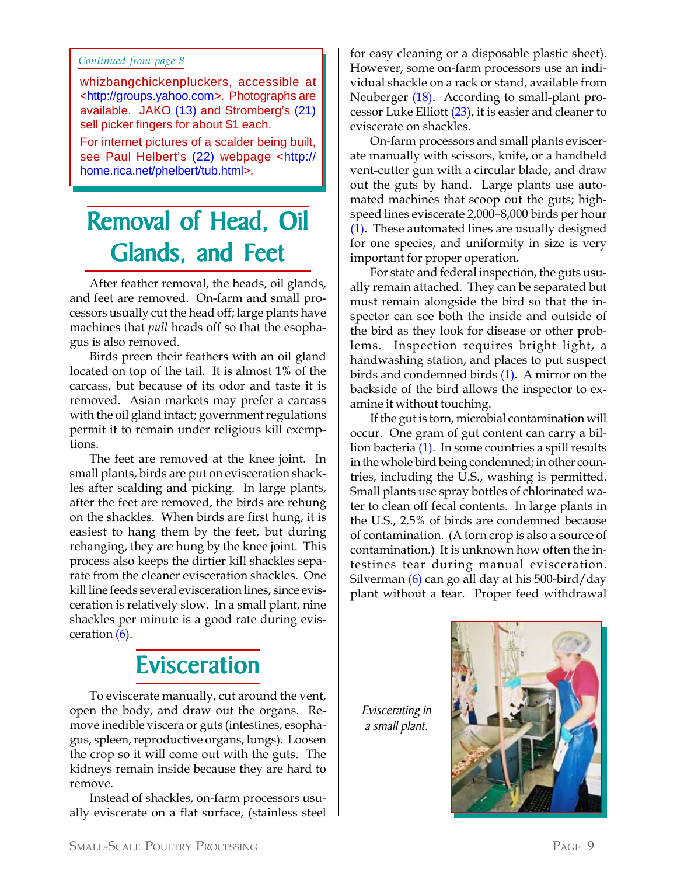#### *Continued from page 8*

whizbangchickenpluckers, accessible at <http://groups.yahoo.com>. Photographs are available. JAKO (13) and Stromberg's (21) sell picker fingers for about \$1 each.

For internet pictures of a scalder being built, see Paul Helbert's (22) webpage <http:// home.rica.net/phelbert/tub.html>.

## Removal of Head, Oil Glands, and Feet

After feather removal, the heads, oil glands, and feet are removed. On-farm and small processors usually cut the head off; large plants have machines that *pull* heads off so that the esophagus is also removed.

Birds preen their feathers with an oil gland located on top of the tail. It is almost 1% of the carcass, but because of its odor and taste it is removed. Asian markets may prefer a carcass with the oil gland intact; government regulations permit it to remain under religious kill exemptions.

The feet are removed at the knee joint. In small plants, birds are put on evisceration shackles after scalding and picking. In large plants, after the feet are removed, the birds are rehung on the shackles. When birds are first hung, it is easiest to hang them by the feet, but during rehanging, they are hung by the knee joint. This process also keeps the dirtier kill shackles separate from the cleaner evisceration shackles. One kill line feeds several evisceration lines, since evisceration is relatively slow. In a small plant, nine shackles per minute is a good rate during evisceration (6).

## **Evisceration**

To eviscerate manually, cut around the vent, open the body, and draw out the organs. Remove inedible viscera or guts (intestines, esophagus, spleen, reproductive organs, lungs). Loosen the crop so it will come out with the guts. The kidneys remain inside because they are hard to remove.

Instead of shackles, on-farm processors usually eviscerate on a flat surface, (stainless steel for easy cleaning or a disposable plastic sheet). However, some on-farm processors use an individual shackle on a rack or stand, available from Neuberger (18). According to small-plant processor Luke Elliott (23), it is easier and cleaner to eviscerate on shackles.

On-farm processors and small plants eviscerate manually with scissors, knife, or a handheld vent-cutter gun with a circular blade, and draw out the guts by hand. Large plants use automated machines that scoop out the guts; highspeed lines eviscerate 2,000–8,000 birds per hour (1). These automated lines are usually designed for one species, and uniformity in size is very important for proper operation.

For state and federal inspection, the guts usually remain attached. They can be separated but must remain alongside the bird so that the inspector can see both the inside and outside of the bird as they look for disease or other problems. Inspection requires bright light, a handwashing station, and places to put suspect birds and condemned birds (1). A mirror on the backside of the bird allows the inspector to examine it without touching.

If the gut is torn, microbial contamination will occur. One gram of gut content can carry a billion bacteria (1). In some countries a spill results in the whole bird being condemned; in other countries, including the U.S., washing is permitted. Small plants use spray bottles of chlorinated water to clean off fecal contents. In large plants in the U.S., 2.5% of birds are condemned because of contamination. (A torn crop is also a source of contamination.) It is unknown how often the intestines tear during manual evisceration. Silverman (6) can go all day at his 500-bird/day plant without a tear. Proper feed withdrawal

Eviscerating in a small plant.

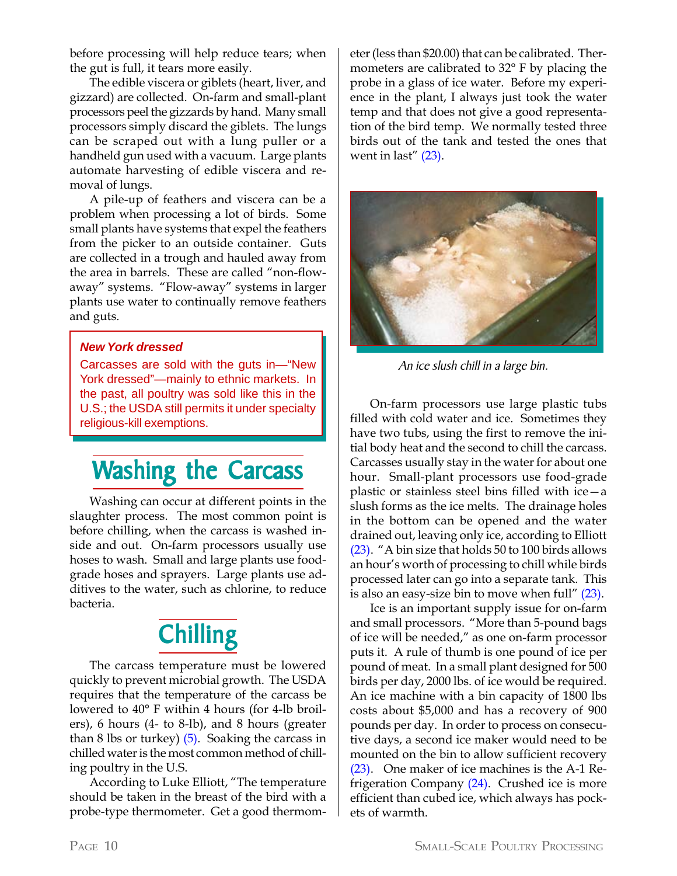before processing will help reduce tears; when the gut is full, it tears more easily.

The edible viscera or giblets (heart, liver, and gizzard) are collected. On-farm and small-plant processors peel the gizzards by hand. Many small processors simply discard the giblets. The lungs can be scraped out with a lung puller or a handheld gun used with a vacuum. Large plants automate harvesting of edible viscera and removal of lungs.

A pile-up of feathers and viscera can be a problem when processing a lot of birds. Some small plants have systems that expel the feathers from the picker to an outside container. Guts are collected in a trough and hauled away from the area in barrels. These are called "non-flowaway" systems. "Flow-away" systems in larger plants use water to continually remove feathers and guts.

#### *New York dressed*

Carcasses are sold with the guts in—"New York dressed"—mainly to ethnic markets. In the past, all poultry was sold like this in the U.S.; the USDA still permits it under specialty religious-kill exemptions.

### Washing the Carcass

Washing can occur at different points in the slaughter process. The most common point is before chilling, when the carcass is washed inside and out. On-farm processors usually use hoses to wash. Small and large plants use foodgrade hoses and sprayers. Large plants use additives to the water, such as chlorine, to reduce bacteria.

## **Chilling**

The carcass temperature must be lowered quickly to prevent microbial growth. The USDA requires that the temperature of the carcass be lowered to 40° F within 4 hours (for 4-lb broilers), 6 hours (4- to 8-lb), and 8 hours (greater than 8 lbs or turkey)  $(5)$ . Soaking the carcass in chilled water is the most common method of chilling poultry in the U.S.

According to Luke Elliott, "The temperature should be taken in the breast of the bird with a probe-type thermometer. Get a good thermometer (less than \$20.00) that can be calibrated. Thermometers are calibrated to 32° F by placing the probe in a glass of ice water. Before my experience in the plant, I always just took the water temp and that does not give a good representation of the bird temp. We normally tested three birds out of the tank and tested the ones that went in last"  $(23)$ .



An ice slush chill in a large bin.

On-farm processors use large plastic tubs filled with cold water and ice. Sometimes they have two tubs, using the first to remove the initial body heat and the second to chill the carcass. Carcasses usually stay in the water for about one hour. Small-plant processors use food-grade plastic or stainless steel bins filled with ice—a slush forms as the ice melts. The drainage holes in the bottom can be opened and the water drained out, leaving only ice, according to Elliott (23). "A bin size that holds 50 to 100 birds allows an hour's worth of processing to chill while birds processed later can go into a separate tank. This is also an easy-size bin to move when full" (23).

Ice is an important supply issue for on-farm and small processors. "More than 5-pound bags of ice will be needed," as one on-farm processor puts it. A rule of thumb is one pound of ice per pound of meat. In a small plant designed for 500 birds per day, 2000 lbs. of ice would be required. An ice machine with a bin capacity of 1800 lbs costs about \$5,000 and has a recovery of 900 pounds per day. In order to process on consecutive days, a second ice maker would need to be mounted on the bin to allow sufficient recovery (23). One maker of ice machines is the A-1 Refrigeration Company (24). Crushed ice is more efficient than cubed ice, which always has pockets of warmth.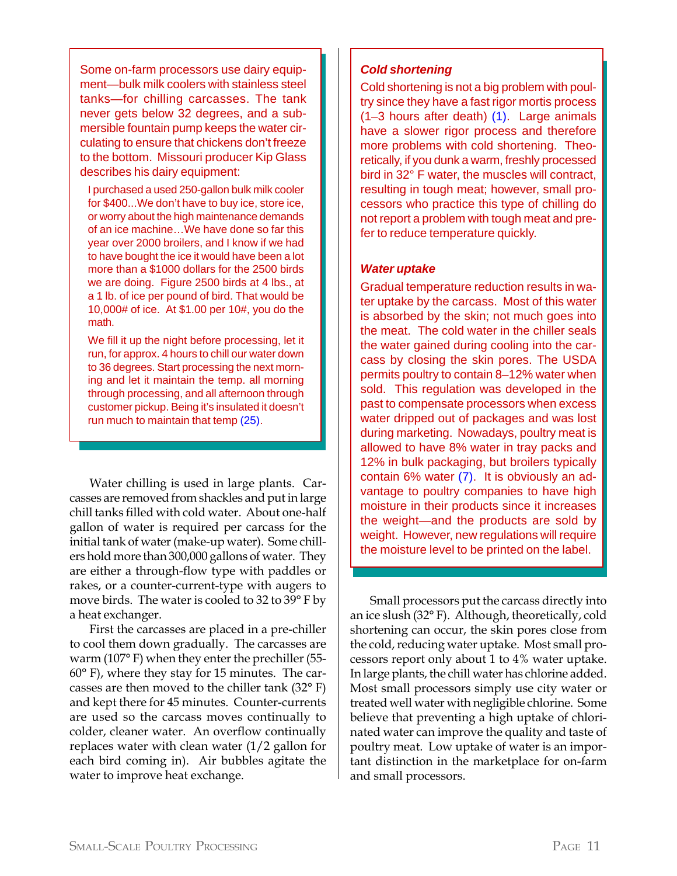Some on-farm processors use dairy equipment—bulk milk coolers with stainless steel tanks—for chilling carcasses. The tank never gets below 32 degrees, and a submersible fountain pump keeps the water circulating to ensure that chickens don't freeze to the bottom. Missouri producer Kip Glass describes his dairy equipment:

I purchased a used 250-gallon bulk milk cooler for \$400...We don't have to buy ice, store ice, or worry about the high maintenance demands of an ice machine…We have done so far this year over 2000 broilers, and I know if we had to have bought the ice it would have been a lot more than a \$1000 dollars for the 2500 birds we are doing. Figure 2500 birds at 4 lbs., at a 1 lb. of ice per pound of bird. That would be 10,000# of ice. At \$1.00 per 10#, you do the math.

We fill it up the night before processing, let it run, for approx. 4 hours to chill our water down to 36 degrees. Start processing the next morning and let it maintain the temp. all morning through processing, and all afternoon through customer pickup. Being it's insulated it doesn't run much to maintain that temp (25).

Water chilling is used in large plants. Carcasses are removed from shackles and put in large chill tanks filled with cold water. About one-half gallon of water is required per carcass for the initial tank of water (make-up water). Some chillers hold more than 300,000 gallons of water. They are either a through-flow type with paddles or rakes, or a counter-current-type with augers to move birds. The water is cooled to 32 to 39° F by a heat exchanger.

First the carcasses are placed in a pre-chiller to cool them down gradually. The carcasses are warm (107° F) when they enter the prechiller (55- 60° F), where they stay for 15 minutes. The carcasses are then moved to the chiller tank (32° F) and kept there for 45 minutes. Counter-currents are used so the carcass moves continually to colder, cleaner water. An overflow continually replaces water with clean water (1/2 gallon for each bird coming in). Air bubbles agitate the water to improve heat exchange.

#### *Cold shortening*

Cold shortening is not a big problem with poultry since they have a fast rigor mortis process (1–3 hours after death) (1). Large animals have a slower rigor process and therefore more problems with cold shortening. Theoretically, if you dunk a warm, freshly processed bird in 32° F water, the muscles will contract, resulting in tough meat; however, small processors who practice this type of chilling do not report a problem with tough meat and prefer to reduce temperature quickly.

#### *Water uptake*

Gradual temperature reduction results in water uptake by the carcass. Most of this water is absorbed by the skin; not much goes into the meat. The cold water in the chiller seals the water gained during cooling into the carcass by closing the skin pores. The USDA permits poultry to contain 8–12% water when sold. This regulation was developed in the past to compensate processors when excess water dripped out of packages and was lost during marketing. Nowadays, poultry meat is allowed to have 8% water in tray packs and 12% in bulk packaging, but broilers typically contain 6% water (7). It is obviously an advantage to poultry companies to have high moisture in their products since it increases the weight—and the products are sold by weight. However, new regulations will require the moisture level to be printed on the label.

Small processors put the carcass directly into an ice slush (32° F). Although, theoretically, cold shortening can occur, the skin pores close from the cold, reducing water uptake. Most small processors report only about 1 to 4% water uptake. In large plants, the chill water has chlorine added. Most small processors simply use city water or treated well water with negligible chlorine. Some believe that preventing a high uptake of chlorinated water can improve the quality and taste of poultry meat. Low uptake of water is an important distinction in the marketplace for on-farm and small processors.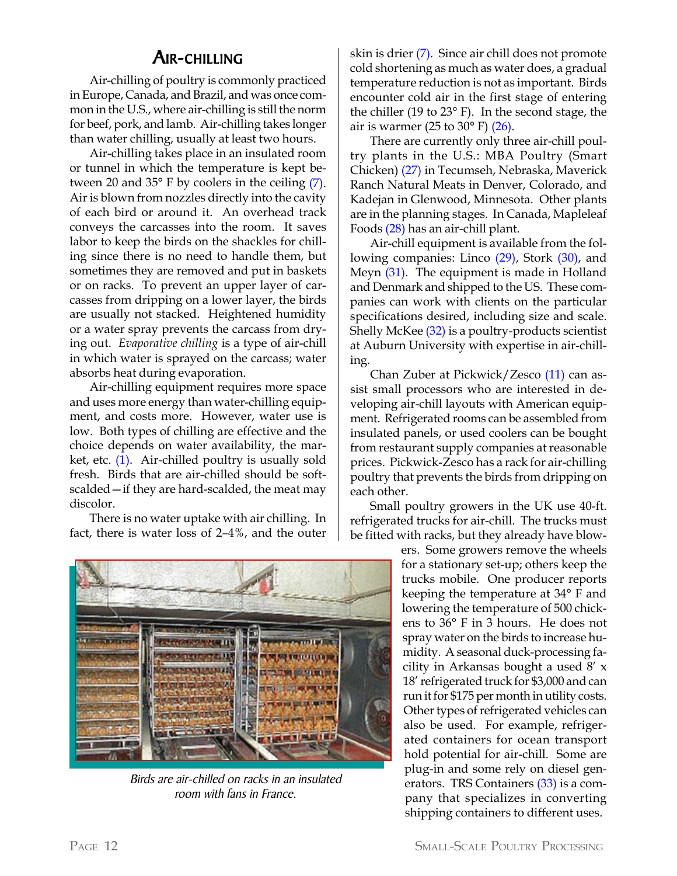#### AIR-CHILLING

Air-chilling of poultry is commonly practiced in Europe, Canada, and Brazil, and was once common in the U.S., where air-chilling is still the norm for beef, pork, and lamb. Air-chilling takes longer than water chilling, usually at least two hours.

Air-chilling takes place in an insulated room or tunnel in which the temperature is kept between 20 and 35° F by coolers in the ceiling (7). Air is blown from nozzles directly into the cavity of each bird or around it. An overhead track conveys the carcasses into the room. It saves labor to keep the birds on the shackles for chilling since there is no need to handle them, but sometimes they are removed and put in baskets or on racks. To prevent an upper layer of carcasses from dripping on a lower layer, the birds are usually not stacked. Heightened humidity or a water spray prevents the carcass from drying out. *Evaporative chilling* is a type of air-chill in which water is sprayed on the carcass; water absorbs heat during evaporation.

Air-chilling equipment requires more space and uses more energy than water-chilling equipment, and costs more. However, water use is low. Both types of chilling are effective and the choice depends on water availability, the market, etc. (1). Air-chilled poultry is usually sold fresh. Birds that are air-chilled should be softscalded—if they are hard-scalded, the meat may discolor.

There is no water uptake with air chilling. In fact, there is water loss of 2–4%, and the outer

skin is drier (7). Since air chill does not promote cold shortening as much as water does, a gradual temperature reduction is not as important. Birds encounter cold air in the first stage of entering the chiller (19 to 23° F). In the second stage, the air is warmer (25 to  $30^{\circ}$  F) (26).

There are currently only three air-chill poultry plants in the U.S.: MBA Poultry (Smart Chicken) (27) in Tecumseh, Nebraska, Maverick Ranch Natural Meats in Denver, Colorado, and Kadejan in Glenwood, Minnesota. Other plants are in the planning stages. In Canada, Mapleleaf Foods (28) has an air-chill plant.

Air-chill equipment is available from the following companies: Linco (29), Stork (30), and Meyn (31). The equipment is made in Holland and Denmark and shipped to the US. These companies can work with clients on the particular specifications desired, including size and scale. Shelly McKee (32) is a poultry-products scientist at Auburn University with expertise in air-chilling.

Chan Zuber at Pickwick/Zesco (11) can assist small processors who are interested in developing air-chill layouts with American equipment. Refrigerated rooms can be assembled from insulated panels, or used coolers can be bought from restaurant supply companies at reasonable prices. Pickwick-Zesco has a rack for air-chilling poultry that prevents the birds from dripping on each other.

Small poultry growers in the UK use 40-ft. refrigerated trucks for air-chill. The trucks must be fitted with racks, but they already have blow-



Birds are air-chilled on racks in an insulated room with fans in France.

ers. Some growers remove the wheels for a stationary set-up; others keep the trucks mobile. One producer reports keeping the temperature at 34° F and lowering the temperature of 500 chickens to 36° F in 3 hours. He does not spray water on the birds to increase humidity. A seasonal duck-processing facility in Arkansas bought a used 8' x 18' refrigerated truck for \$3,000 and can run it for \$175 per month in utility costs. Other types of refrigerated vehicles can also be used. For example, refrigerated containers for ocean transport hold potential for air-chill. Some are plug-in and some rely on diesel generators. TRS Containers (33) is a company that specializes in converting shipping containers to different uses.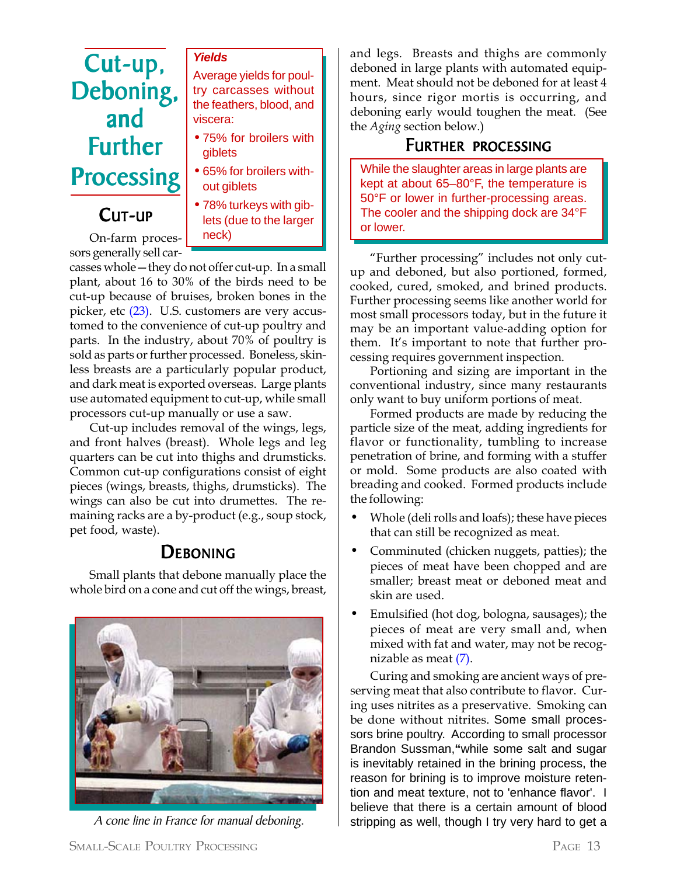## Cut-up, Deboning, and Further Processing

#### CUT-UP



Average yields for poul-

*Yields*

On-farm processors generally sell car-

casses whole—they do not offer cut-up. In a small plant, about 16 to 30% of the birds need to be cut-up because of bruises, broken bones in the picker, etc (23). U.S. customers are very accustomed to the convenience of cut-up poultry and parts. In the industry, about 70% of poultry is sold as parts or further processed. Boneless, skinless breasts are a particularly popular product, and dark meat is exported overseas. Large plants use automated equipment to cut-up, while small processors cut-up manually or use a saw.

Cut-up includes removal of the wings, legs, and front halves (breast). Whole legs and leg quarters can be cut into thighs and drumsticks. Common cut-up configurations consist of eight pieces (wings, breasts, thighs, drumsticks). The wings can also be cut into drumettes. The remaining racks are a by-product (e.g., soup stock, pet food, waste).

### **DEBONING**

Small plants that debone manually place the whole bird on a cone and cut off the wings, breast,



and legs. Breasts and thighs are commonly deboned in large plants with automated equipment. Meat should not be deboned for at least 4 hours, since rigor mortis is occurring, and deboning early would toughen the meat. (See the *Aging* section below.)

#### FURTHER PROCESSING

While the slaughter areas in large plants are kept at about 65–80°F, the temperature is 50°F or lower in further-processing areas. The cooler and the shipping dock are 34°F or lower.

"Further processing" includes not only cutup and deboned, but also portioned, formed, cooked, cured, smoked, and brined products. Further processing seems like another world for most small processors today, but in the future it may be an important value-adding option for them. It's important to note that further processing requires government inspection.

Portioning and sizing are important in the conventional industry, since many restaurants only want to buy uniform portions of meat.

Formed products are made by reducing the particle size of the meat, adding ingredients for flavor or functionality, tumbling to increase penetration of brine, and forming with a stuffer or mold. Some products are also coated with breading and cooked. Formed products include the following:

- Whole (deli rolls and loafs); these have pieces that can still be recognized as meat.
- Comminuted (chicken nuggets, patties); the pieces of meat have been chopped and are smaller; breast meat or deboned meat and skin are used.
- Emulsified (hot dog, bologna, sausages); the pieces of meat are very small and, when mixed with fat and water, may not be recognizable as meat (7).

Curing and smoking are ancient ways of preserving meat that also contribute to flavor. Curing uses nitrites as a preservative. Smoking can be done without nitrites. Some small processors brine poultry. According to small processor Brandon Sussman,**"**while some salt and sugar is inevitably retained in the brining process, the reason for brining is to improve moisture retention and meat texture, not to 'enhance flavor'. I believe that there is a certain amount of blood A cone line in France for manual deboning.  $\vert$  stripping as well, though I try very hard to get a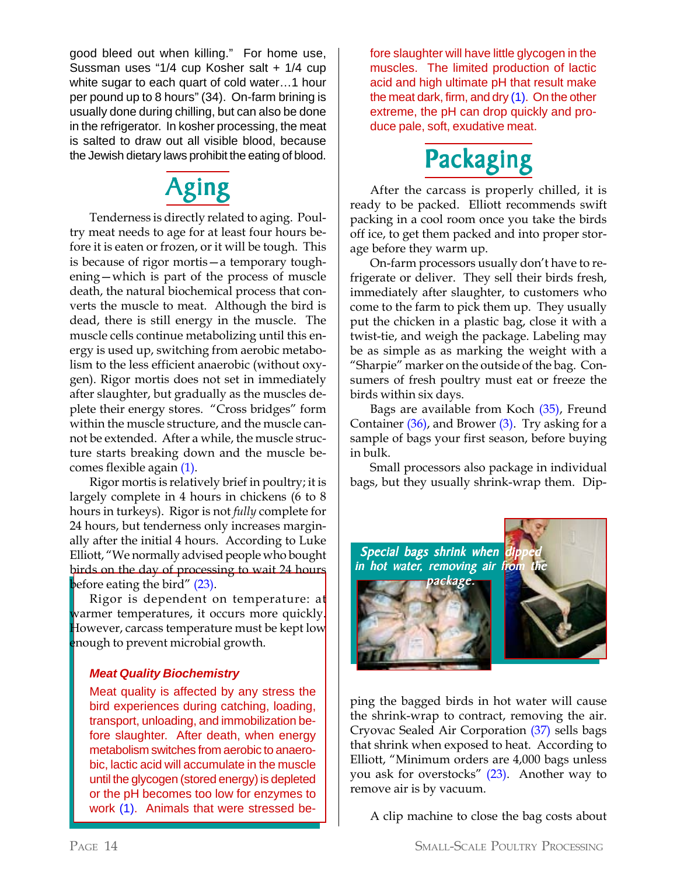good bleed out when killing." For home use, Sussman uses "1/4 cup Kosher salt + 1/4 cup white sugar to each quart of cold water…1 hour per pound up to 8 hours" (34). On-farm brining is usually done during chilling, but can also be done in the refrigerator. In kosher processing, the meat is salted to draw out all visible blood, because the Jewish dietary laws prohibit the eating of blood.

## Aging

Tenderness is directly related to aging. Poultry meat needs to age for at least four hours before it is eaten or frozen, or it will be tough. This is because of rigor mortis—a temporary toughening—which is part of the process of muscle death, the natural biochemical process that converts the muscle to meat. Although the bird is dead, there is still energy in the muscle. The muscle cells continue metabolizing until this energy is used up, switching from aerobic metabolism to the less efficient anaerobic (without oxygen). Rigor mortis does not set in immediately after slaughter, but gradually as the muscles deplete their energy stores. "Cross bridges" form within the muscle structure, and the muscle cannot be extended. After a while, the muscle structure starts breaking down and the muscle becomes flexible again (1).

Rigor mortis is relatively brief in poultry; it is largely complete in 4 hours in chickens (6 to 8 hours in turkeys). Rigor is not *fully* complete for 24 hours, but tenderness only increases marginally after the initial 4 hours. According to Luke Elliott, "We normally advised people who bought birds on the day of processing to wait 24 hours before eating the bird" (23).

Rigor is dependent on temperature:  $a\mathbf{t}$ warmer temperatures, it occurs more quickly. However, carcass temperature must be kept low enough to prevent microbial growth.

#### *Meat Quality Biochemistry*

Meat quality is affected by any stress the bird experiences during catching, loading, transport, unloading, and immobilization before slaughter. After death, when energy metabolism switches from aerobic to anaerobic, lactic acid will accumulate in the muscle until the glycogen (stored energy) is depleted or the pH becomes too low for enzymes to work (1). Animals that were stressed before slaughter will have little glycogen in the muscles. The limited production of lactic acid and high ultimate pH that result make the meat dark, firm, and dry (1). On the other extreme, the pH can drop quickly and produce pale, soft, exudative meat.



After the carcass is properly chilled, it is ready to be packed. Elliott recommends swift packing in a cool room once you take the birds off ice, to get them packed and into proper storage before they warm up.

On-farm processors usually don't have to refrigerate or deliver. They sell their birds fresh, immediately after slaughter, to customers who come to the farm to pick them up. They usually put the chicken in a plastic bag, close it with a twist-tie, and weigh the package. Labeling may be as simple as as marking the weight with a "Sharpie" marker on the outside of the bag. Consumers of fresh poultry must eat or freeze the birds within six days.

Bags are available from Koch (35), Freund Container (36), and Brower (3). Try asking for a sample of bags your first season, before buying in bulk.

Small processors also package in individual bags, but they usually shrink-wrap them. Dip-



ping the bagged birds in hot water will cause the shrink-wrap to contract, removing the air. Cryovac Sealed Air Corporation (37) sells bags that shrink when exposed to heat. According to Elliott, "Minimum orders are 4,000 bags unless you ask for overstocks" (23). Another way to remove air is by vacuum.

A clip machine to close the bag costs about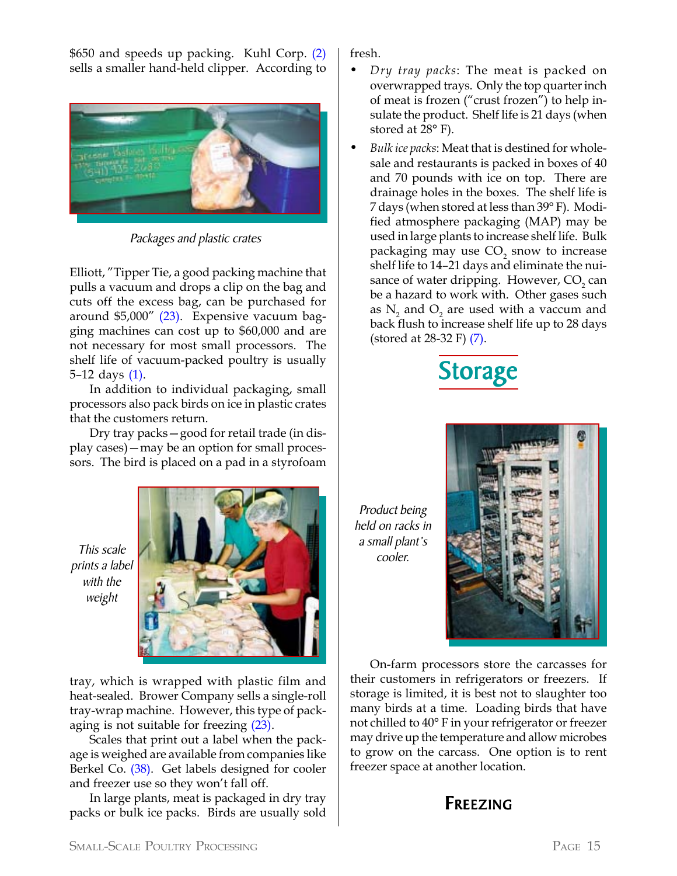\$650 and speeds up packing. Kuhl Corp. (2) sells a smaller hand-held clipper. According to



Packages and plastic crates

Elliott, "Tipper Tie, a good packing machine that pulls a vacuum and drops a clip on the bag and cuts off the excess bag, can be purchased for around \$5,000" (23). Expensive vacuum bagging machines can cost up to \$60,000 and are not necessary for most small processors. The shelf life of vacuum-packed poultry is usually 5–12 days (1).

In addition to individual packaging, small processors also pack birds on ice in plastic crates that the customers return.

Dry tray packs—good for retail trade (in display cases)—may be an option for small processors. The bird is placed on a pad in a styrofoam

This scale prints a label with the weight



tray, which is wrapped with plastic film and heat-sealed. Brower Company sells a single-roll tray-wrap machine. However, this type of packaging is not suitable for freezing (23).

Scales that print out a label when the package is weighed are available from companies like Berkel Co. (38). Get labels designed for cooler and freezer use so they won't fall off.

In large plants, meat is packaged in dry tray packs or bulk ice packs. Birds are usually sold fresh.

- *• Dry tray packs*: The meat is packed on overwrapped trays. Only the top quarter inch of meat is frozen ("crust frozen") to help insulate the product. Shelf life is 21 days (when stored at 28° F).
- *• Bulk ice packs*: Meat that is destined for wholesale and restaurants is packed in boxes of 40 and 70 pounds with ice on top. There are drainage holes in the boxes. The shelf life is 7 days (when stored at less than 39° F). Modified atmosphere packaging (MAP) may be used in large plants to increase shelf life. Bulk packaging may use  $\mathrm{CO}_2^{}$  snow to increase shelf life to 14–21 days and eliminate the nuisance of water dripping. However,  $CO<sub>2</sub>$  can be a hazard to work with. Other gases such as  $N_2$  and  $O_2$  are used with a vaccum and back flush to increase shelf life up to 28 days (stored at 28-32 F) (7).



Product being held on racks in a small plant's cooler.



On-farm processors store the carcasses for their customers in refrigerators or freezers. If storage is limited, it is best not to slaughter too many birds at a time. Loading birds that have not chilled to 40° F in your refrigerator or freezer may drive up the temperature and allow microbes to grow on the carcass. One option is to rent freezer space at another location.

### FREEZING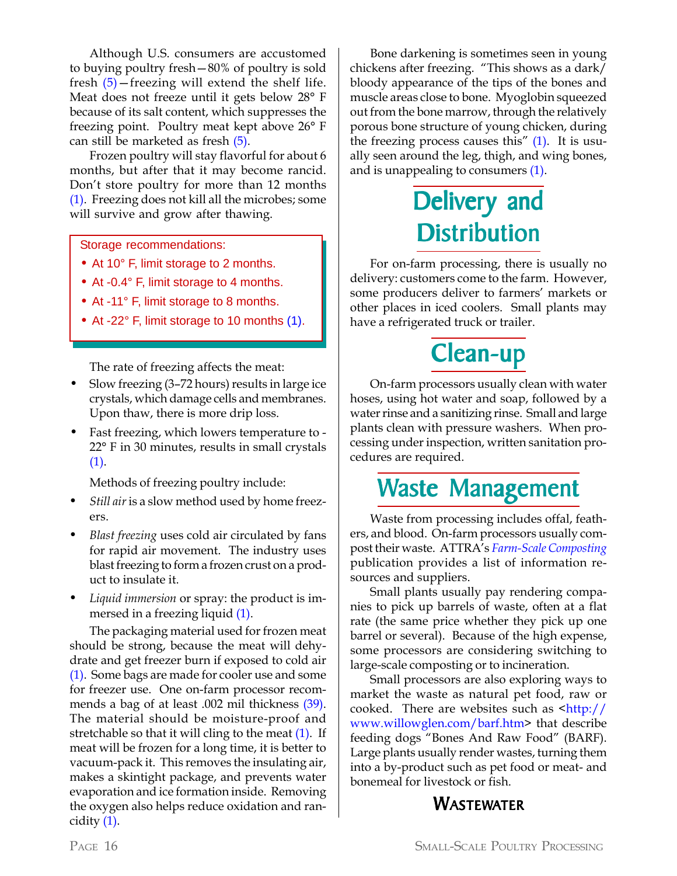Although U.S. consumers are accustomed to buying poultry fresh—80% of poultry is sold fresh  $(5)$  – freezing will extend the shelf life. Meat does not freeze until it gets below 28° F because of its salt content, which suppresses the freezing point. Poultry meat kept above 26° F can still be marketed as fresh (5).

Frozen poultry will stay flavorful for about 6 months, but after that it may become rancid. Don't store poultry for more than 12 months (1). Freezing does not kill all the microbes; some will survive and grow after thawing.

Storage recommendations:

- At 10° F, limit storage to 2 months.
- At -0.4° F, limit storage to 4 months.
- At -11° F, limit storage to 8 months.
- At -22° F, limit storage to 10 months (1).

The rate of freezing affects the meat:

- Slow freezing (3–72 hours) results in large ice crystals, which damage cells and membranes. Upon thaw, there is more drip loss.
- Fast freezing, which lowers temperature to 22° F in 30 minutes, results in small crystals (1).

Methods of freezing poultry include:

- *• Still air* is a slow method used by home freezers.
- *• Blast freezing* uses cold air circulated by fans for rapid air movement. The industry uses blast freezing to form a frozen crust on a product to insulate it.
- *• Liquid immersion* or spray: the product is immersed in a freezing liquid (1).

The packaging material used for frozen meat should be strong, because the meat will dehydrate and get freezer burn if exposed to cold air (1). Some bags are made for cooler use and some for freezer use. One on-farm processor recommends a bag of at least .002 mil thickness (39). The material should be moisture-proof and stretchable so that it will cling to the meat (1). If meat will be frozen for a long time, it is better to vacuum-pack it. This removes the insulating air, makes a skintight package, and prevents water evaporation and ice formation inside. Removing the oxygen also helps reduce oxidation and rancidity (1).

Bone darkening is sometimes seen in young chickens after freezing. "This shows as a dark/ bloody appearance of the tips of the bones and muscle areas close to bone. Myoglobin squeezed out from the bone marrow, through the relatively porous bone structure of young chicken, during the freezing process causes this" (1). It is usually seen around the leg, thigh, and wing bones, and is unappealing to consumers (1).

## Delivery and **Distribution**

For on-farm processing, there is usually no delivery: customers come to the farm. However, some producers deliver to farmers' markets or other places in iced coolers. Small plants may have a refrigerated truck or trailer.

## Clean-up

On-farm processors usually clean with water hoses, using hot water and soap, followed by a water rinse and a sanitizing rinse. Small and large plants clean with pressure washers. When processing under inspection, written sanitation procedures are required.

### Waste Management

Waste from processing includes offal, feathers, and blood. On-farm processors usually compost their waste. ATTRA's *Farm-Scale Composting* publication provides a list of information resources and suppliers.

Small plants usually pay rendering companies to pick up barrels of waste, often at a flat rate (the same price whether they pick up one barrel or several). Because of the high expense, some processors are considering switching to large-scale composting or to incineration.

Small processors are also exploring ways to market the waste as natural pet food, raw or cooked. There are websites such as  $\frac{\text{th}}{\text{t}}/2$ www.willowglen.com/barf.htm> that describe feeding dogs "Bones And Raw Food" (BARF). Large plants usually render wastes, turning them into a by-product such as pet food or meat- and bonemeal for livestock or fish.

### **WASTEWATER**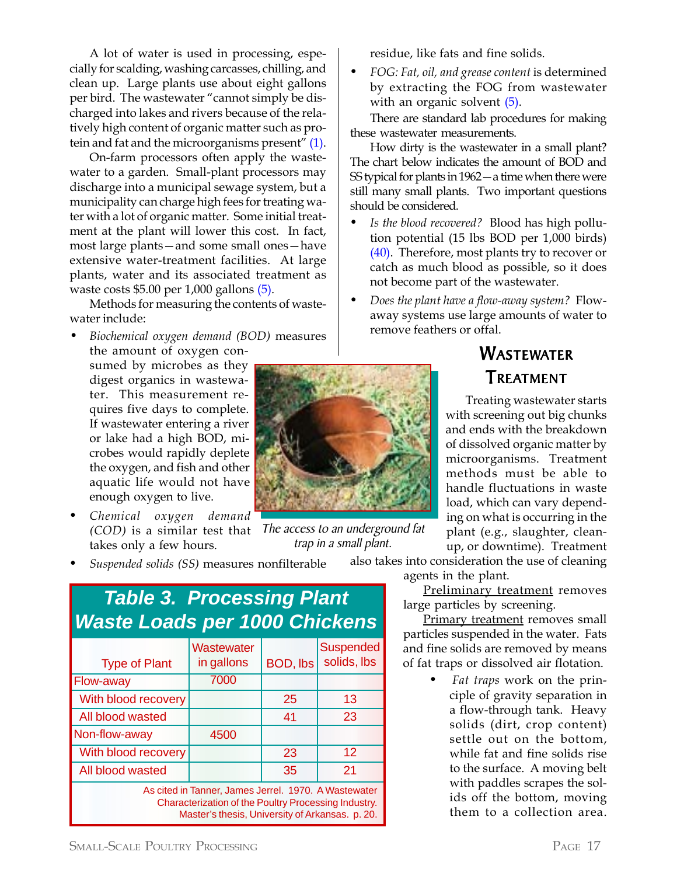A lot of water is used in processing, especially for scalding, washing carcasses, chilling, and clean up. Large plants use about eight gallons per bird. The wastewater "cannot simply be discharged into lakes and rivers because of the relatively high content of organic matter such as protein and fat and the microorganisms present" (1).

On-farm processors often apply the wastewater to a garden. Small-plant processors may discharge into a municipal sewage system, but a municipality can charge high fees for treating water with a lot of organic matter. Some initial treatment at the plant will lower this cost. In fact, most large plants—and some small ones—have extensive water-treatment facilities. At large plants, water and its associated treatment as waste costs \$5.00 per 1,000 gallons (5).

Methods for measuring the contents of wastewater include:

- *Biochemical oxygen demand (BOD)* measures the amount of oxygen consumed by microbes as they digest organics in wastewater. This measurement requires five days to complete. If wastewater entering a river or lake had a high BOD, microbes would rapidly deplete the oxygen, and fish and other aquatic life would not have enough oxygen to live.
- *• Chemical oxygen demand (COD)* is a similar test that takes only a few hours.
- *• Suspended solids (SS)* measures nonfilterable

| <b>Table 3. Processing Plant</b><br><b>Waste Loads per 1000 Chickens</b>                                                                                        |                          |          |                                 |  |  |  |
|-----------------------------------------------------------------------------------------------------------------------------------------------------------------|--------------------------|----------|---------------------------------|--|--|--|
| <b>Type of Plant</b>                                                                                                                                            | Wastewater<br>in gallons | BOD, lbs | <b>Suspended</b><br>solids, lbs |  |  |  |
| Flow-away                                                                                                                                                       | 7000                     |          |                                 |  |  |  |
| With blood recovery                                                                                                                                             |                          | 25       | 13                              |  |  |  |
| All blood wasted                                                                                                                                                |                          | 41       | 23                              |  |  |  |
| Non-flow-away                                                                                                                                                   | 4500                     |          |                                 |  |  |  |
| With blood recovery                                                                                                                                             |                          | 23       | 12                              |  |  |  |
| All blood wasted                                                                                                                                                |                          | 35       | 21                              |  |  |  |
| As cited in Tanner, James Jerrel. 1970. A Wastewater<br>Characterization of the Poultry Processing Industry.<br>Master's thesis, University of Arkansas. p. 20. |                          |          |                                 |  |  |  |



The access to an underground fat trap in a small plant.

residue, like fats and fine solids.

*• FOG: Fat, oil, and grease content* is determined by extracting the FOG from wastewater with an organic solvent  $(5)$ .

There are standard lab procedures for making these wastewater measurements.

How dirty is the wastewater in a small plant? The chart below indicates the amount of BOD and SS typical for plants in 1962—a time when there were still many small plants. Two important questions should be considered.

- *• Is the blood recovered?* Blood has high pollution potential (15 lbs BOD per 1,000 birds) (40). Therefore, most plants try to recover or catch as much blood as possible, so it does not become part of the wastewater.
- *• Does the plant have a flow-away system?* Flowaway systems use large amounts of water to remove feathers or offal.

### WASTEWATER TREATMENT

Treating wastewater starts with screening out big chunks and ends with the breakdown of dissolved organic matter by microorganisms. Treatment methods must be able to handle fluctuations in waste load, which can vary depending on what is occurring in the plant (e.g., slaughter, cleanup, or downtime). Treatment

also takes into consideration the use of cleaning agents in the plant.

> Preliminary treatment removes large particles by screening.

Primary treatment removes small particles suspended in the water. Fats and fine solids are removed by means of fat traps or dissolved air flotation.

> *• Fat traps* work on the principle of gravity separation in a flow-through tank. Heavy solids (dirt, crop content) settle out on the bottom, while fat and fine solids rise to the surface. A moving belt with paddles scrapes the solids off the bottom, moving them to a collection area.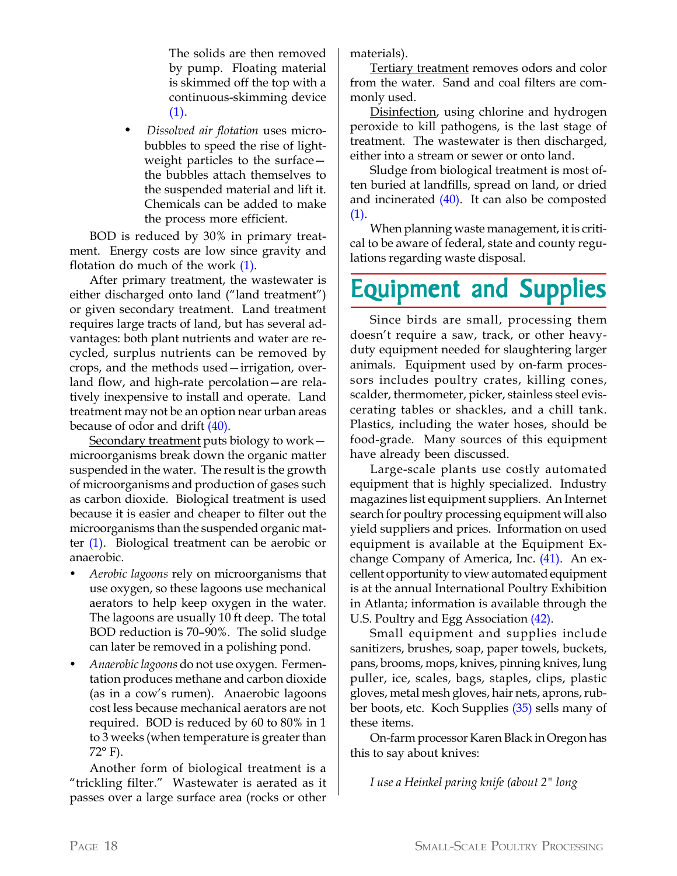The solids are then removed by pump. Floating material is skimmed off the top with a continuous-skimming device (1).

*• Dissolved air flotation* uses microbubbles to speed the rise of lightweight particles to the surface the bubbles attach themselves to the suspended material and lift it. Chemicals can be added to make the process more efficient.

BOD is reduced by 30% in primary treatment. Energy costs are low since gravity and flotation do much of the work (1).

After primary treatment, the wastewater is either discharged onto land ("land treatment") or given secondary treatment. Land treatment requires large tracts of land, but has several advantages: both plant nutrients and water are recycled, surplus nutrients can be removed by crops, and the methods used—irrigation, overland flow, and high-rate percolation—are relatively inexpensive to install and operate. Land treatment may not be an option near urban areas because of odor and drift (40).

Secondary treatment puts biology to work – microorganisms break down the organic matter suspended in the water. The result is the growth of microorganisms and production of gases such as carbon dioxide. Biological treatment is used because it is easier and cheaper to filter out the microorganisms than the suspended organic matter (1). Biological treatment can be aerobic or anaerobic.

- *Aerobic lagoons* rely on microorganisms that use oxygen, so these lagoons use mechanical aerators to help keep oxygen in the water. The lagoons are usually 10 ft deep. The total BOD reduction is 70–90%. The solid sludge can later be removed in a polishing pond.
- *Anaerobic lagoons* do not use oxygen. Fermentation produces methane and carbon dioxide (as in a cow's rumen). Anaerobic lagoons cost less because mechanical aerators are not required. BOD is reduced by 60 to 80% in 1 to 3 weeks (when temperature is greater than  $72^{\circ}$  F).

Another form of biological treatment is a "trickling filter." Wastewater is aerated as it passes over a large surface area (rocks or other

materials).

Tertiary treatment removes odors and color from the water. Sand and coal filters are commonly used.

Disinfection, using chlorine and hydrogen peroxide to kill pathogens, is the last stage of treatment. The wastewater is then discharged, either into a stream or sewer or onto land.

Sludge from biological treatment is most often buried at landfills, spread on land, or dried and incinerated (40). It can also be composted (1).

When planning waste management, it is critical to be aware of federal, state and county regulations regarding waste disposal.

## **Equipment and Supplies**

Since birds are small, processing them doesn't require a saw, track, or other heavyduty equipment needed for slaughtering larger animals. Equipment used by on-farm processors includes poultry crates, killing cones, scalder, thermometer, picker, stainless steel eviscerating tables or shackles, and a chill tank. Plastics, including the water hoses, should be food-grade. Many sources of this equipment have already been discussed.

Large-scale plants use costly automated equipment that is highly specialized. Industry magazines list equipment suppliers. An Internet search for poultry processing equipment will also yield suppliers and prices. Information on used equipment is available at the Equipment Exchange Company of America, Inc. (41). An excellent opportunity to view automated equipment is at the annual International Poultry Exhibition in Atlanta; information is available through the U.S. Poultry and Egg Association (42).

Small equipment and supplies include sanitizers, brushes, soap, paper towels, buckets, pans, brooms, mops, knives, pinning knives, lung puller, ice, scales, bags, staples, clips, plastic gloves, metal mesh gloves, hair nets, aprons, rubber boots, etc. Koch Supplies (35) sells many of these items.

On-farm processor Karen Black in Oregon has this to say about knives:

*I use a Heinkel paring knife (about 2" long*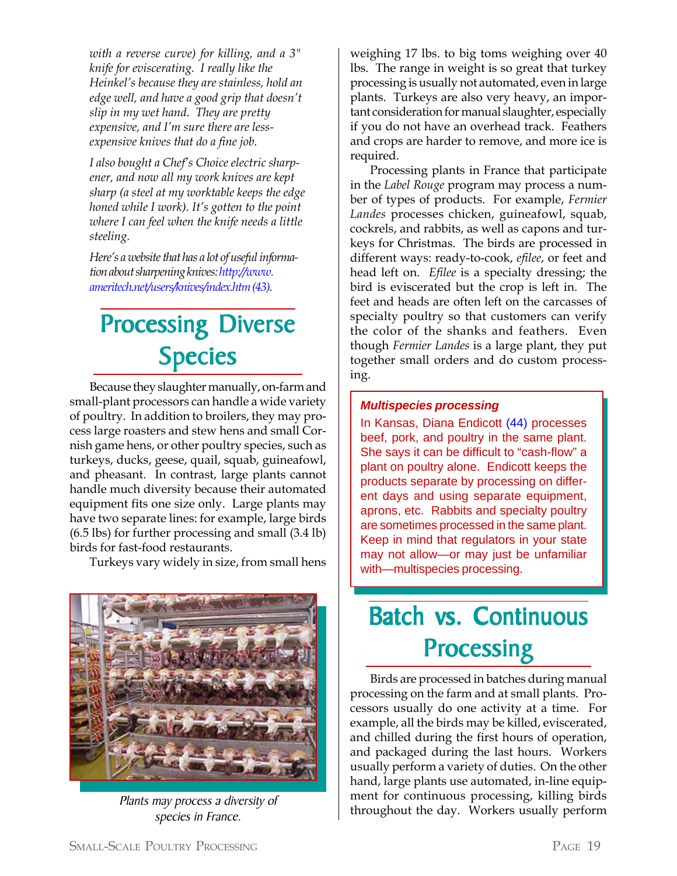*with a reverse curve) for killing, and a 3" knife for eviscerating. I really like the Heinkel's because they are stainless, hold an edge well, and have a good grip that doesn't slip in my wet hand. They are pretty expensive, and I'm sure there are lessexpensive knives that do a fine job.*

*I also bought a Chef's Choice electric sharpener, and now all my work knives are kept sharp (a steel at my worktable keeps the edge honed while I work). It's gotten to the point where I can feel when the knife needs a little steeling.*

*Here's a website that has a lot of useful information about sharpening knives: http://www. ameritech.net/users/knives/index.htm(43).*

## Processing Diverse Species

Because they slaughter manually, on-farm and small-plant processors can handle a wide variety of poultry. In addition to broilers, they may process large roasters and stew hens and small Cornish game hens, or other poultry species, such as turkeys, ducks, geese, quail, squab, guineafowl, and pheasant. In contrast, large plants cannot handle much diversity because their automated equipment fits one size only. Large plants may have two separate lines: for example, large birds (6.5 lbs) for further processing and small (3.4 lb) birds for fast-food restaurants.

Turkeys vary widely in size, from small hens



species in France.

weighing 17 lbs. to big toms weighing over 40 lbs. The range in weight is so great that turkey processing is usually not automated, even in large plants. Turkeys are also very heavy, an important consideration for manual slaughter, especially if you do not have an overhead track. Feathers and crops are harder to remove, and more ice is required.

Processing plants in France that participate in the *Label Rouge* program may process a number of types of products. For example, *Fermier Landes* processes chicken, guineafowl, squab, cockrels, and rabbits, as well as capons and turkeys for Christmas. The birds are processed in different ways: ready-to-cook, *efilee*, or feet and head left on. *Efilee* is a specialty dressing; the bird is eviscerated but the crop is left in. The feet and heads are often left on the carcasses of specialty poultry so that customers can verify the color of the shanks and feathers. Even though *Fermier Landes* is a large plant, they put together small orders and do custom processing.

#### *Multispecies processing*

In Kansas, Diana Endicott (44) processes beef, pork, and poultry in the same plant. She says it can be difficult to "cash-flow" a plant on poultry alone. Endicott keeps the products separate by processing on different days and using separate equipment, aprons, etc. Rabbits and specialty poultry are sometimes processed in the same plant. Keep in mind that regulators in your state may not allow—or may just be unfamiliar with—multispecies processing.

## Batch vs. Continuous Processing

Birds are processed in batches during manual processing on the farm and at small plants. Processors usually do one activity at a time. For example, all the birds may be killed, eviscerated, and chilled during the first hours of operation, and packaged during the last hours. Workers usually perform a variety of duties. On the other hand, large plants use automated, in-line equipment for continuous processing, killing birds Plants may process a diversity of ment for continuous processing, killing birds<br>throughout the day. Workers usually perform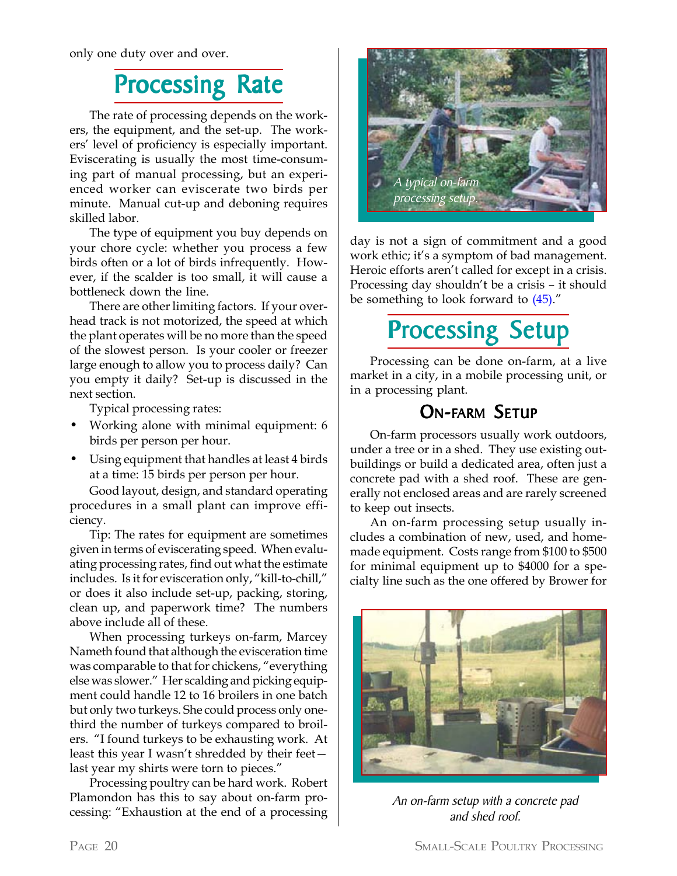only one duty over and over.

## Processing Rate

The rate of processing depends on the workers, the equipment, and the set-up. The workers' level of proficiency is especially important. Eviscerating is usually the most time-consuming part of manual processing, but an experienced worker can eviscerate two birds per minute. Manual cut-up and deboning requires skilled labor.

The type of equipment you buy depends on your chore cycle: whether you process a few birds often or a lot of birds infrequently. However, if the scalder is too small, it will cause a bottleneck down the line.

There are other limiting factors. If your overhead track is not motorized, the speed at which the plant operates will be no more than the speed of the slowest person. Is your cooler or freezer large enough to allow you to process daily? Can you empty it daily? Set-up is discussed in the next section.

Typical processing rates:

- Working alone with minimal equipment: 6 birds per person per hour.
- Using equipment that handles at least 4 birds at a time: 15 birds per person per hour.

Good layout, design, and standard operating procedures in a small plant can improve efficiency.

Tip: The rates for equipment are sometimes given in terms of eviscerating speed. When evaluating processing rates, find out what the estimate includes. Is it for evisceration only, "kill-to-chill," or does it also include set-up, packing, storing, clean up, and paperwork time? The numbers above include all of these.

When processing turkeys on-farm, Marcey Nameth found that although the evisceration time was comparable to that for chickens, "everything else was slower." Her scalding and picking equipment could handle 12 to 16 broilers in one batch but only two turkeys. She could process only onethird the number of turkeys compared to broilers. "I found turkeys to be exhausting work. At least this year I wasn't shredded by their feet last year my shirts were torn to pieces."

Processing poultry can be hard work. Robert Plamondon has this to say about on-farm processing: "Exhaustion at the end of a processing



day is not a sign of commitment and a good work ethic; it's a symptom of bad management. Heroic efforts aren't called for except in a crisis. Processing day shouldn't be a crisis – it should be something to look forward to (45)."

## Processing Setup

Processing can be done on-farm, at a live market in a city, in a mobile processing unit, or in a processing plant.

### **ON-FARM SETUP**

On-farm processors usually work outdoors, under a tree or in a shed. They use existing outbuildings or build a dedicated area, often just a concrete pad with a shed roof. These are generally not enclosed areas and are rarely screened to keep out insects.

An on-farm processing setup usually includes a combination of new, used, and homemade equipment. Costs range from \$100 to \$500 for minimal equipment up to \$4000 for a specialty line such as the one offered by Brower for



An on-farm setup with a concrete pad and shed roof.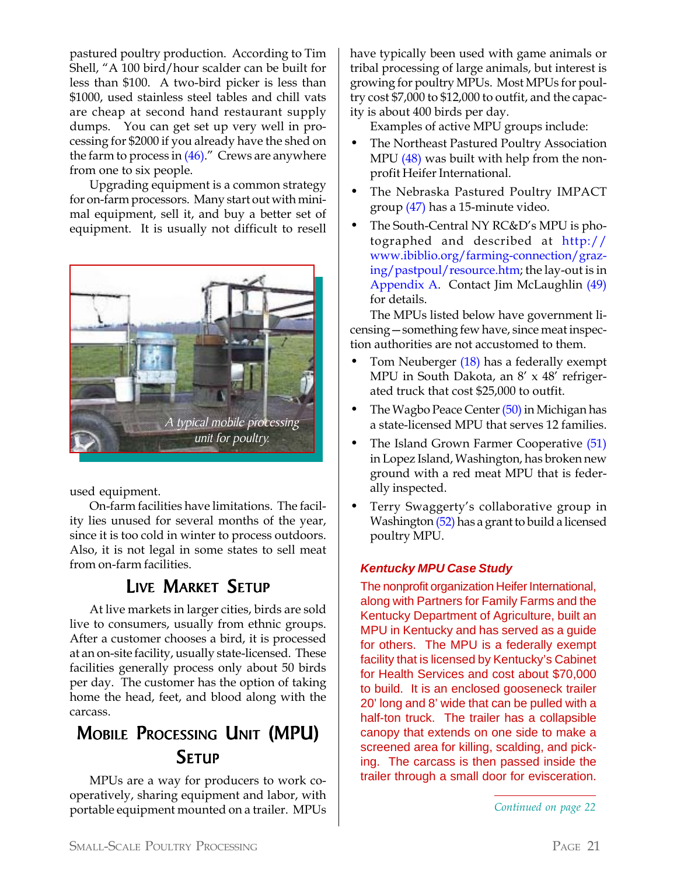pastured poultry production. According to Tim Shell, "A 100 bird/hour scalder can be built for less than \$100. A two-bird picker is less than \$1000, used stainless steel tables and chill vats are cheap at second hand restaurant supply dumps. You can get set up very well in processing for \$2000 if you already have the shed on the farm to process in  $(46)$ ." Crews are anywhere from one to six people.

Upgrading equipment is a common strategy for on-farm processors. Many start out with minimal equipment, sell it, and buy a better set of equipment. It is usually not difficult to resell

![](_page_20_Picture_2.jpeg)

used equipment.

On-farm facilities have limitations. The facility lies unused for several months of the year, since it is too cold in winter to process outdoors. Also, it is not legal in some states to sell meat from on-farm facilities.

### LIVE MARKET SETUP

At live markets in larger cities, birds are sold live to consumers, usually from ethnic groups. After a customer chooses a bird, it is processed at an on-site facility, usually state-licensed. These facilities generally process only about 50 birds per day. The customer has the option of taking home the head, feet, and blood along with the carcass.

### **MOBILE PROCESSING UNIT (MPU) SETUP**

MPUs are a way for producers to work cooperatively, sharing equipment and labor, with portable equipment mounted on a trailer. MPUs

have typically been used with game animals or tribal processing of large animals, but interest is growing for poultry MPUs. Most MPUs for poultry cost \$7,000 to \$12,000 to outfit, and the capacity is about 400 birds per day.

Examples of active MPU groups include:

- The Northeast Pastured Poultry Association MPU (48) was built with help from the nonprofit Heifer International.
- The Nebraska Pastured Poultry IMPACT group (47) has a 15-minute video.
- The South-Central NY RC&D's MPU is photographed and described at http:// www.ibiblio.org/farming-connection/grazing/pastpoul/resource.htm; the lay-out is in Appendix A. Contact Jim McLaughlin (49) for details.

The MPUs listed below have government licensing—something few have, since meat inspection authorities are not accustomed to them.

- Tom Neuberger (18) has a federally exempt MPU in South Dakota, an 8' x 48' refrigerated truck that cost \$25,000 to outfit.
- The Wagbo Peace Center (50) in Michigan has a state-licensed MPU that serves 12 families.
- The Island Grown Farmer Cooperative (51) in Lopez Island, Washington, has broken new ground with a red meat MPU that is federally inspected.
- Terry Swaggerty's collaborative group in Washington (52) has a grant to build a licensed poultry MPU.

#### *Kentucky MPU Case Study*

The nonprofit organization Heifer International, along with Partners for Family Farms and the Kentucky Department of Agriculture, built an MPU in Kentucky and has served as a guide for others. The MPU is a federally exempt facility that is licensed by Kentucky's Cabinet for Health Services and cost about \$70,000 to build. It is an enclosed gooseneck trailer 20' long and 8' wide that can be pulled with a half-ton truck. The trailer has a collapsible canopy that extends on one side to make a screened area for killing, scalding, and picking. The carcass is then passed inside the trailer through a small door for evisceration.

*Continued on page 22*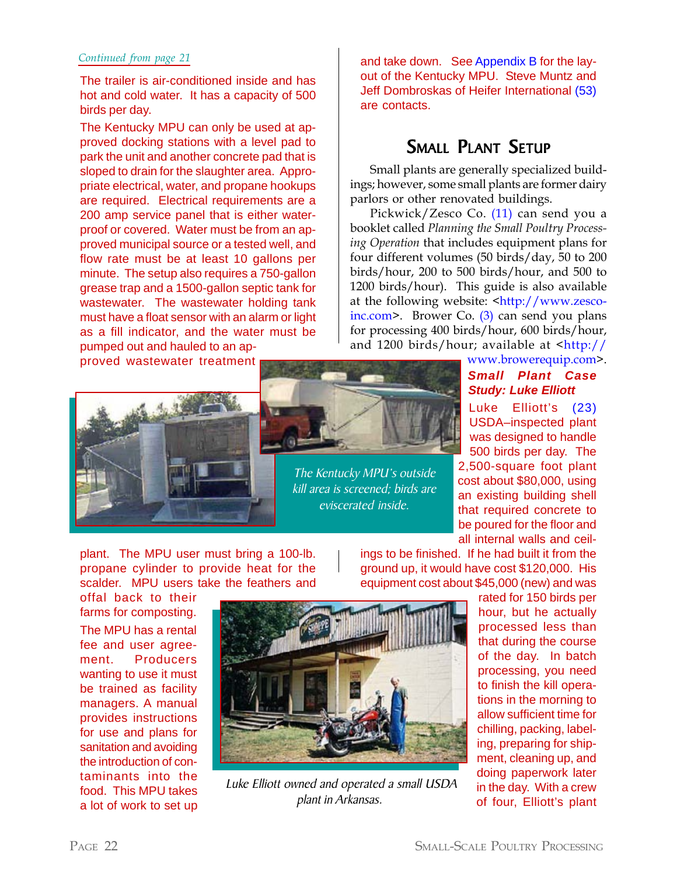#### *Continued from page 21*

The trailer is air-conditioned inside and has hot and cold water. It has a capacity of 500 birds per day.

The Kentucky MPU can only be used at approved docking stations with a level pad to park the unit and another concrete pad that is sloped to drain for the slaughter area. Appropriate electrical, water, and propane hookups are required. Electrical requirements are a 200 amp service panel that is either waterproof or covered. Water must be from an approved municipal source or a tested well, and flow rate must be at least 10 gallons per minute. The setup also requires a 750-gallon grease trap and a 1500-gallon septic tank for wastewater. The wastewater holding tank must have a float sensor with an alarm or light as a fill indicator, and the water must be pumped out and hauled to an ap-

proved wastewater treatment

![](_page_21_Picture_4.jpeg)

and take down. See Appendix B for the layout of the Kentucky MPU. Steve Muntz and Jeff Dombroskas of Heifer International (53) are contacts.

### SMALL PLANT SETUP

Small plants are generally specialized buildings; however, some small plants are former dairy parlors or other renovated buildings.

Pickwick/Zesco Co. (11) can send you a booklet called *Planning the Small Poultry Processing Operation* that includes equipment plans for four different volumes (50 birds/day, 50 to 200 birds/hour, 200 to 500 birds/hour, and 500 to 1200 birds/hour). This guide is also available at the following website: <http://www.zescoinc.com>. Brower Co. (3) can send you plans for processing 400 birds/hour, 600 birds/hour, and 1200 birds/hour; available at  $\frac{\text{th}}{\text{t}}/$ 

#### www.browerequip.com>. *Small Plant Case Study: Luke Elliott*

Luke Elliott's (23) USDA–inspected plant was designed to handle 500 birds per day. The 2,500-square foot plant cost about \$80,000, using an existing building shell that required concrete to be poured for the floor and all internal walls and ceil-

plant. The MPU user must bring a 100-lb. propane cylinder to provide heat for the scalder. MPU users take the feathers and

offal back to their farms for composting.

The MPU has a rental fee and user agreement. Producers wanting to use it must be trained as facility managers. A manual provides instructions for use and plans for sanitation and avoiding the introduction of contaminants into the food. This MPU takes a lot of work to set up

![](_page_21_Picture_14.jpeg)

The Kentucky MPU's outside kill area is screened; birds are eviscerated inside.

ings to be finished. If he had built it from the ground up, it would have cost \$120,000. His equipment cost about \$45,000 (new) and was

![](_page_21_Picture_17.jpeg)

 Luke Elliott owned and operated a small USDA plant in Arkansas.

rated for 150 birds per hour, but he actually processed less than that during the course of the day. In batch processing, you need to finish the kill operations in the morning to allow sufficient time for chilling, packing, labeling, preparing for shipment, cleaning up, and doing paperwork later in the day. With a crew of four, Elliott's plant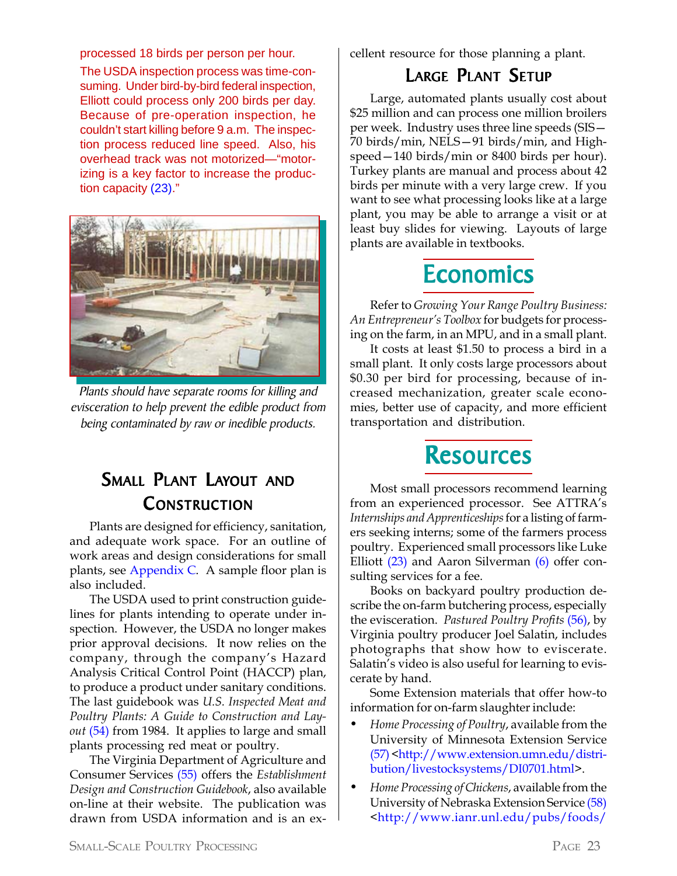processed 18 birds per person per hour.

The USDA inspection process was time-consuming. Under bird-by-bird federal inspection, Elliott could process only 200 birds per day. Because of pre-operation inspection, he couldn't start killing before 9 a.m. The inspection process reduced line speed. Also, his overhead track was not motorized—"motorizing is a key factor to increase the production capacity (23)."

![](_page_22_Picture_2.jpeg)

Plants should have separate rooms for killing and evisceration to help prevent the edible product from being contaminated by raw or inedible products.

### SMALL PLANT LAYOUT AND **CONSTRUCTION**

Plants are designed for efficiency, sanitation, and adequate work space. For an outline of work areas and design considerations for small plants, see Appendix C. A sample floor plan is also included.

The USDA used to print construction guidelines for plants intending to operate under inspection. However, the USDA no longer makes prior approval decisions. It now relies on the company, through the company's Hazard Analysis Critical Control Point (HACCP) plan, to produce a product under sanitary conditions. The last guidebook was *U.S. Inspected Meat and Poultry Plants: A Guide to Construction and Layout* (54) from 1984. It applies to large and small plants processing red meat or poultry.

The Virginia Department of Agriculture and Consumer Services (55) offers the *Establishment Design and Construction Guidebook*, also available on-line at their website. The publication was drawn from USDA information and is an excellent resource for those planning a plant.

### **LARGE PLANT SETUP**

Large, automated plants usually cost about \$25 million and can process one million broilers per week. Industry uses three line speeds (SIS— 70 birds/min, NELS—91 birds/min, and Highspeed—140 birds/min or 8400 birds per hour). Turkey plants are manual and process about 42 birds per minute with a very large crew. If you want to see what processing looks like at a large plant, you may be able to arrange a visit or at least buy slides for viewing. Layouts of large plants are available in textbooks.

## **Economics**

Refer to *Growing Your Range Poultry Business: An Entrepreneur's Toolbox* for budgets for processing on the farm, in an MPU, and in a small plant.

It costs at least \$1.50 to process a bird in a small plant. It only costs large processors about \$0.30 per bird for processing, because of increased mechanization, greater scale economies, better use of capacity, and more efficient transportation and distribution.

### **Resources**

Most small processors recommend learning from an experienced processor. See ATTRA's *Internships and Apprenticeships* for a listing of farmers seeking interns; some of the farmers process poultry. Experienced small processors like Luke Elliott (23) and Aaron Silverman (6) offer consulting services for a fee.

Books on backyard poultry production describe the on-farm butchering process, especially the evisceration. *Pastured Poultry Profits* (56), by Virginia poultry producer Joel Salatin, includes photographs that show how to eviscerate. Salatin's video is also useful for learning to eviscerate by hand.

Some Extension materials that offer how-to information for on-farm slaughter include:

- *• Home Processing of Poultry*, available from the University of Minnesota Extension Service (57) <http://www.extension.umn.edu/distribution/livestocksystems/DI0701.html>.
- *• Home Processing of Chickens*, available from the University of Nebraska Extension Service (58) <http://www.ianr.unl.edu/pubs/foods/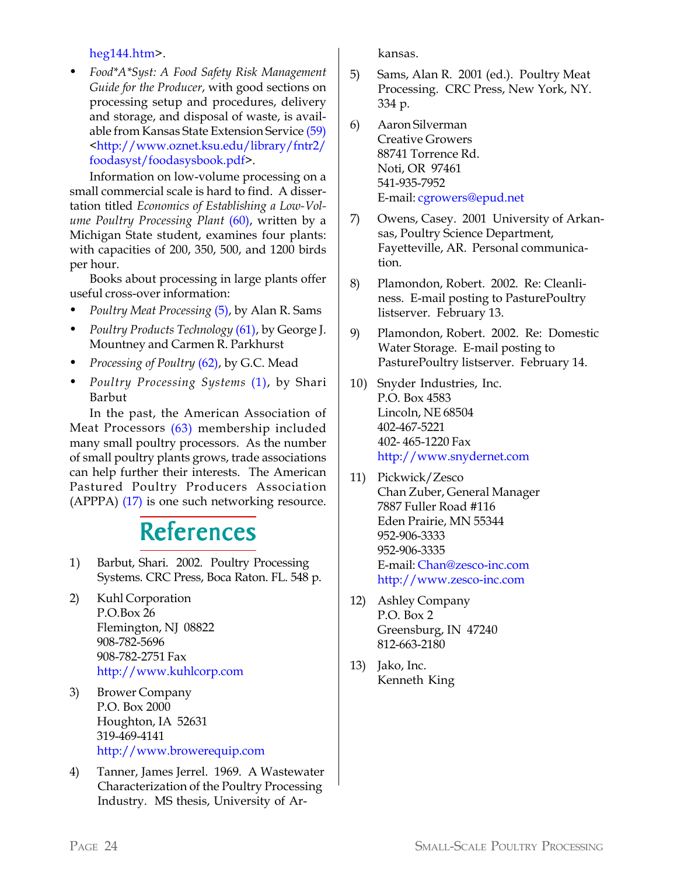#### heg144.htm>.

*• Food\*A\*Syst: A Food Safety Risk Management Guide for the Producer*, with good sections on processing setup and procedures, delivery and storage, and disposal of waste, is available from Kansas State Extension Service (59) <http://www.oznet.ksu.edu/library/fntr2/ foodasyst/foodasysbook.pdf>.

Information on low-volume processing on a small commercial scale is hard to find. A dissertation titled *Economics of Establishing a Low-Volume Poultry Processing Plant* (60), written by a Michigan State student, examines four plants: with capacities of 200, 350, 500, and 1200 birds per hour.

Books about processing in large plants offer useful cross-over information:

- *• Poultry Meat Processing* (5), by Alan R. Sams
- *• Poultry Products Technology* (61), by George J. Mountney and Carmen R. Parkhurst
- *• Processing of Poultry* (62), by G.C. Mead
- *• Poultry Processing Systems* (1), by Shari Barbut

In the past, the American Association of Meat Processors (63) membership included many small poultry processors. As the number of small poultry plants grows, trade associations can help further their interests. The American Pastured Poultry Producers Association (APPPA) (17) is one such networking resource.

### **References**

- 1) Barbut, Shari. 2002. Poultry Processing Systems. CRC Press, Boca Raton. FL. 548 p.
- 2) Kuhl Corporation P.O.Box 26 Flemington, NJ 08822 908-782-5696 908-782-2751 Fax http://www.kuhlcorp.com
- 3) Brower Company P.O. Box 2000 Houghton, IA 52631 319-469-4141 http://www.browerequip.com
- 4) Tanner, James Jerrel. 1969. A Wastewater Characterization of the Poultry Processing Industry. MS thesis, University of Ar-

kansas.

- 5) Sams, Alan R. 2001 (ed.). Poultry Meat Processing. CRC Press, New York, NY. 334 p.
- 6) Aaron Silverman Creative Growers 88741 Torrence Rd. Noti, OR 97461 541-935-7952 E-mail: cgrowers@epud.net
- 7) Owens, Casey. 2001 University of Arkansas, Poultry Science Department, Fayetteville, AR. Personal communication.
- 8) Plamondon, Robert. 2002. Re: Cleanliness. E-mail posting to PasturePoultry listserver. February 13.
- 9) Plamondon, Robert. 2002. Re: Domestic Water Storage. E-mail posting to PasturePoultry listserver. February 14.
- 10) Snyder Industries, Inc. P.O. Box 4583 Lincoln, NE 68504 402-467-5221 402- 465-1220 Fax http://www.snydernet.com
- 11) Pickwick/Zesco Chan Zuber, General Manager 7887 Fuller Road #116 Eden Prairie, MN 55344 952-906-3333 952-906-3335 E-mail: Chan@zesco-inc.com http://www.zesco-inc.com
- 12) Ashley Company P.O. Box 2 Greensburg, IN 47240 812-663-2180
- 13) Jako, Inc. Kenneth King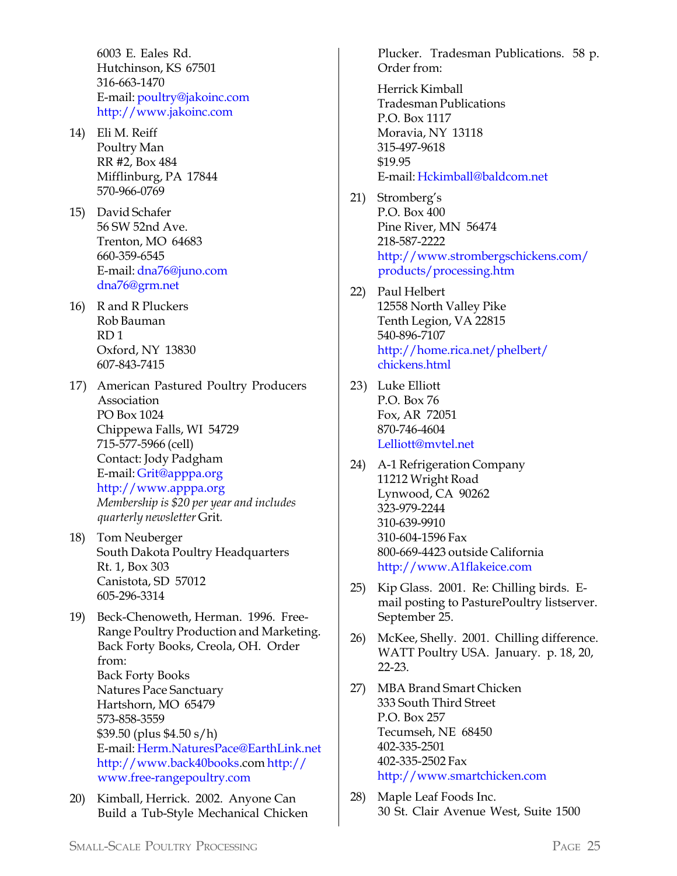6003 E. Eales Rd. Hutchinson, KS 67501 316-663-1470 E-mail: poultry@jakoinc.com http://www.jakoinc.com

- 14) Eli M. Reiff Poultry Man RR #2, Box 484 Mifflinburg, PA 17844 570-966-0769
- 15) David Schafer 56 SW 52nd Ave. Trenton, MO 64683 660-359-6545 E-mail: dna76@juno.com dna76@grm.net
- 16) R and R Pluckers Rob Bauman RD 1 Oxford, NY 13830 607-843-7415
- 17) American Pastured Poultry Producers Association PO Box 1024 Chippewa Falls, WI 54729 715-577-5966 (cell) Contact: Jody Padgham E-mail: Grit@apppa.org http://www.apppa.org *Membership is \$20 per year and includes quarterly newsletter* Grit*.*
- 18) Tom Neuberger South Dakota Poultry Headquarters Rt. 1, Box 303 Canistota, SD 57012 605-296-3314
- 19) Beck-Chenoweth, Herman. 1996. Free-Range Poultry Production and Marketing. Back Forty Books, Creola, OH. Order from: Back Forty Books Natures Pace Sanctuary Hartshorn, MO 65479 573-858-3559 \$39.50 (plus \$4.50 s/h) E-mail: Herm.NaturesPace@EarthLink.net http://www.back40books.com http:// www.free-rangepoultry.com
- 20) Kimball, Herrick. 2002. Anyone Can Build a Tub-Style Mechanical Chicken

Plucker. Tradesman Publications. 58 p. Order from:

Herrick Kimball Tradesman Publications P.O. Box 1117 Moravia, NY 13118 315-497-9618 \$19.95 E-mail: Hckimball@baldcom.net

- 21) Stromberg's P.O. Box 400 Pine River, MN 56474 218-587-2222 http://www.strombergschickens.com/ products/processing.htm
- 22) Paul Helbert 12558 North Valley Pike Tenth Legion, VA 22815 540-896-7107 http://home.rica.net/phelbert/ chickens.html
- 23) Luke Elliott P.O. Box 76 Fox, AR 72051 870-746-4604 Lelliott@mvtel.net
- 24) A-1 Refrigeration Company 11212 Wright Road Lynwood, CA 90262 323-979-2244 310-639-9910 310-604-1596 Fax 800-669-4423 outside California http://www.A1flakeice.com
- 25) Kip Glass. 2001. Re: Chilling birds. Email posting to PasturePoultry listserver. September 25.
- 26) McKee, Shelly. 2001. Chilling difference. WATT Poultry USA. January. p. 18, 20, 22-23.
- 27) MBA Brand Smart Chicken 333 South Third Street P.O. Box 257 Tecumseh, NE 68450 402-335-2501 402-335-2502 Fax http://www.smartchicken.com
- 28) Maple Leaf Foods Inc. 30 St. Clair Avenue West, Suite 1500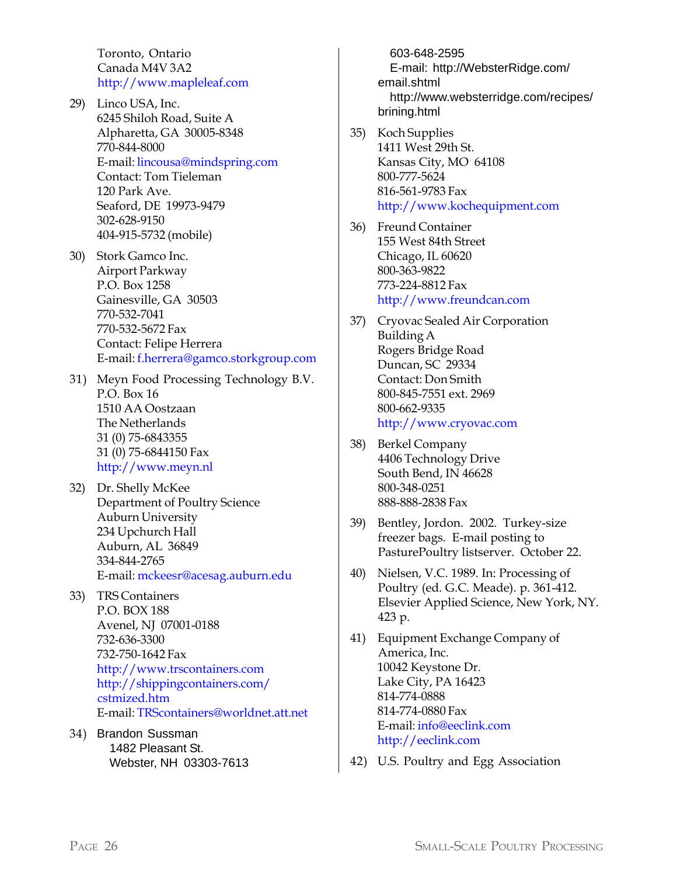Toronto, Ontario Canada M4V 3A2 http://www.mapleleaf.com

- 29) Linco USA, Inc. 6245 Shiloh Road, Suite A Alpharetta, GA 30005-8348 770-844-8000 E-mail: lincousa@mindspring.com Contact: Tom Tieleman 120 Park Ave. Seaford, DE 19973-9479 302-628-9150 404-915-5732 (mobile)
- 30) Stork Gamco Inc. Airport Parkway P.O. Box 1258 Gainesville, GA 30503 770-532-7041 770-532-5672 Fax Contact: Felipe Herrera E-mail: f.herrera@gamco.storkgroup.com
- 31) Meyn Food Processing Technology B.V. P.O. Box 16 1510 AA Oostzaan The Netherlands 31 (0) 75-6843355 31 (0) 75-6844150 Fax http://www.meyn.nl
- 32) Dr. Shelly McKee Department of Poultry Science Auburn University 234 Upchurch Hall Auburn, AL 36849 334-844-2765 E-mail: mckeesr@acesag.auburn.edu
- 33) TRS Containers P.O. BOX 188 Avenel, NJ 07001-0188 732-636-3300 732-750-1642 Fax http://www.trscontainers.com http://shippingcontainers.com/ cstmized.htm E-mail: TRScontainers@worldnet.att.net
- 34) Brandon Sussman 1482 Pleasant St. Webster, NH 03303-7613

603-648-2595 E-mail: http://WebsterRidge.com/ email.shtml http://www.websterridge.com/recipes/ brining.html

- 35) Koch Supplies 1411 West 29th St. Kansas City, MO 64108 800-777-5624 816-561-9783 Fax http://www.kochequipment.com
- 36) Freund Container 155 West 84th Street Chicago, IL 60620 800-363-9822 773-224-8812 Fax http://www.freundcan.com
- 37) Cryovac Sealed Air Corporation Building A Rogers Bridge Road Duncan, SC 29334 Contact: Don Smith 800-845-7551 ext. 2969 800-662-9335 http://www.cryovac.com
- 38) Berkel Company 4406 Technology Drive South Bend, IN 46628 800-348-0251 888-888-2838 Fax
- 39) Bentley, Jordon. 2002. Turkey-size freezer bags. E-mail posting to PasturePoultry listserver. October 22.
- 40) Nielsen, V.C. 1989. In: Processing of Poultry (ed. G.C. Meade). p. 361-412. Elsevier Applied Science, New York, NY. 423 p.
- 41) Equipment Exchange Company of America, Inc. 10042 Keystone Dr. Lake City, PA 16423 814-774-0888 814-774-0880 Fax E-mail: info@eeclink.com http://eeclink.com
- 42) U.S. Poultry and Egg Association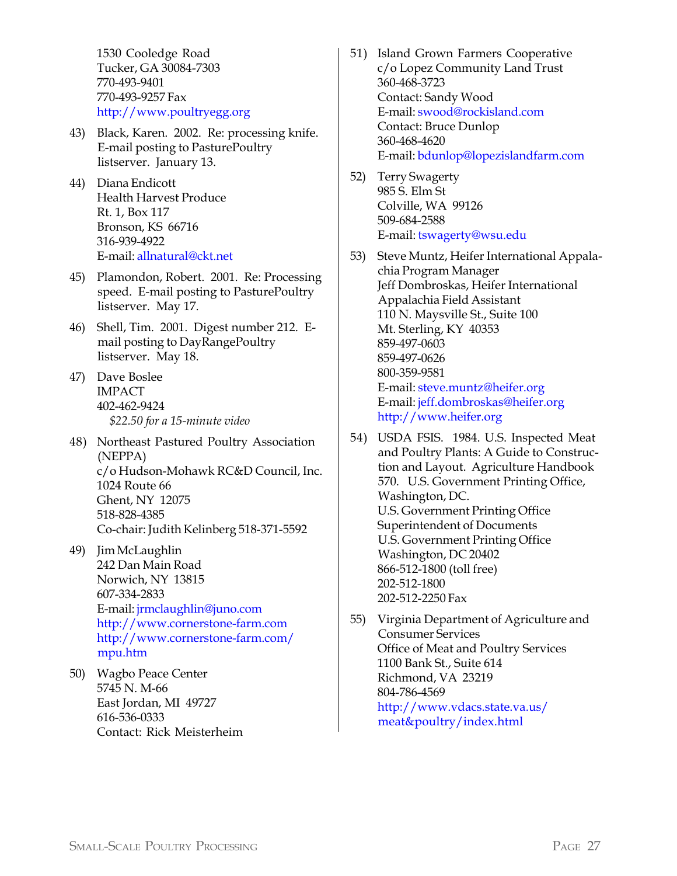1530 Cooledge Road Tucker, GA 30084-7303 770-493-9401 770-493-9257 Fax http://www.poultryegg.org

- 43) Black, Karen. 2002. Re: processing knife. E-mail posting to PasturePoultry listserver. January 13.
- 44) Diana Endicott Health Harvest Produce Rt. 1, Box 117 Bronson, KS 66716 316-939-4922 E-mail: allnatural@ckt.net
- 45) Plamondon, Robert. 2001. Re: Processing speed. E-mail posting to PasturePoultry listserver. May 17.
- 46) Shell, Tim. 2001. Digest number 212. Email posting to DayRangePoultry listserver. May 18.
- 47) Dave Boslee IMPACT 402-462-9424 *\$22.50 for a 15-minute video*
- 48) Northeast Pastured Poultry Association (NEPPA) c/o Hudson-Mohawk RC&D Council, Inc. 1024 Route 66 Ghent, NY 12075 518-828-4385 Co-chair: Judith Kelinberg 518-371-5592
- 49) Jim McLaughlin 242 Dan Main Road Norwich, NY 13815 607-334-2833 E-mail: jrmclaughlin@juno.com http://www.cornerstone-farm.com http://www.cornerstone-farm.com/ mpu.htm
- 50) Wagbo Peace Center 5745 N. M-66 East Jordan, MI 49727 616-536-0333 Contact: Rick Meisterheim
- 51) Island Grown Farmers Cooperative c/o Lopez Community Land Trust 360-468-3723 Contact: Sandy Wood E-mail: swood@rockisland.com Contact: Bruce Dunlop 360-468-4620 E-mail: bdunlop@lopezislandfarm.com
- 52) Terry Swagerty 985 S. Elm St Colville, WA 99126 509-684-2588 E-mail: tswagerty@wsu.edu
- 53) Steve Muntz, Heifer International Appalachia Program Manager Jeff Dombroskas, Heifer International Appalachia Field Assistant 110 N. Maysville St., Suite 100 Mt. Sterling, KY 40353 859-497-0603 859-497-0626 800-359-9581 E-mail: steve.muntz@heifer.org E-mail: jeff.dombroskas@heifer.org http://www.heifer.org
- 54) USDA FSIS. 1984. U.S. Inspected Meat and Poultry Plants: A Guide to Construction and Layout. Agriculture Handbook 570. U.S. Government Printing Office, Washington, DC. U.S. Government Printing Office Superintendent of Documents U.S. Government Printing Office Washington, DC 20402 866-512-1800 (toll free) 202-512-1800 202-512-2250 Fax
- 55) Virginia Department of Agriculture and Consumer Services Office of Meat and Poultry Services 1100 Bank St., Suite 614 Richmond, VA 23219 804-786-4569 http://www.vdacs.state.va.us/ meat&poultry/index.html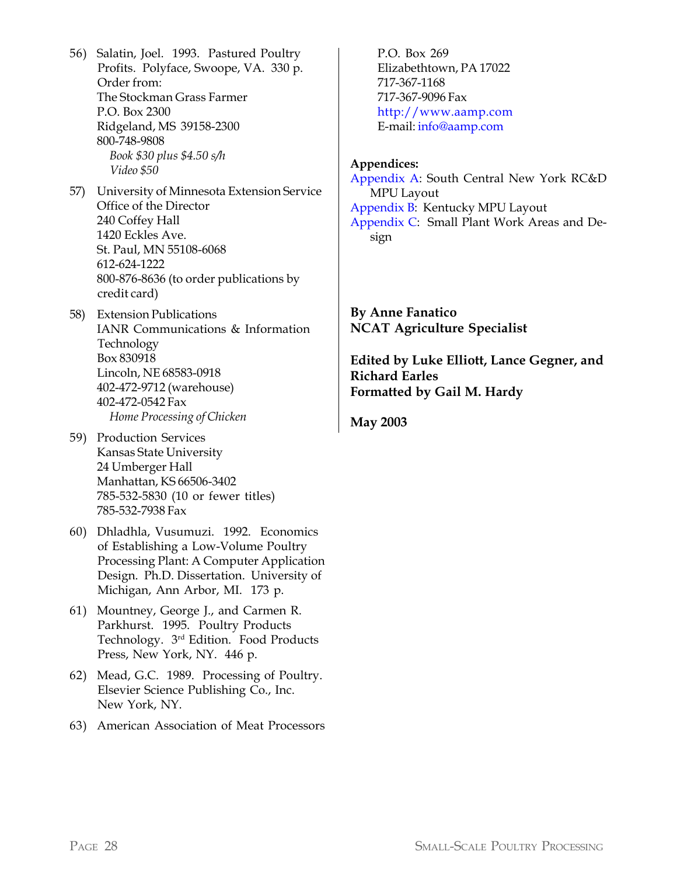- 56) Salatin, Joel. 1993. Pastured Poultry Profits. Polyface, Swoope, VA. 330 p. Order from: The Stockman Grass Farmer P.O. Box 2300 Ridgeland, MS 39158-2300 800-748-9808 *Book \$30 plus \$4.50 s/h Video \$50*
- 57) University of Minnesota Extension Service Office of the Director 240 Coffey Hall 1420 Eckles Ave. St. Paul, MN 55108-6068 612-624-1222 800-876-8636 (to order publications by credit card)
- 58) Extension Publications IANR Communications & Information Technology Box 830918 Lincoln, NE 68583-0918 402-472-9712 (warehouse) 402-472-0542 Fax *Home Processing of Chicken*
- 59) Production Services Kansas State University 24 Umberger Hall Manhattan, KS 66506-3402 785-532-5830 (10 or fewer titles) 785-532-7938 Fax
- 60) Dhladhla, Vusumuzi. 1992. Economics of Establishing a Low-Volume Poultry Processing Plant: A Computer Application Design. Ph.D. Dissertation. University of Michigan, Ann Arbor, MI. 173 p.
- 61) Mountney, George J., and Carmen R. Parkhurst. 1995. Poultry Products Technology. 3rd Edition. Food Products Press, New York, NY. 446 p.
- 62) Mead, G.C. 1989. Processing of Poultry. Elsevier Science Publishing Co., Inc. New York, NY.
- 63) American Association of Meat Processors

P.O. Box 269 Elizabethtown, PA 17022 717-367-1168 717-367-9096 Fax http://www.aamp.com E-mail: info@aamp.com

#### **Appendices:**

Appendix A: South Central New York RC&D MPU Layout Appendix B: Kentucky MPU Layout Appendix C: Small Plant Work Areas and Design

**By Anne Fanatico NCAT Agriculture Specialist**

**Edited by Luke Elliott, Lance Gegner, and Richard Earles Formatted by Gail M. Hardy**

**May 2003**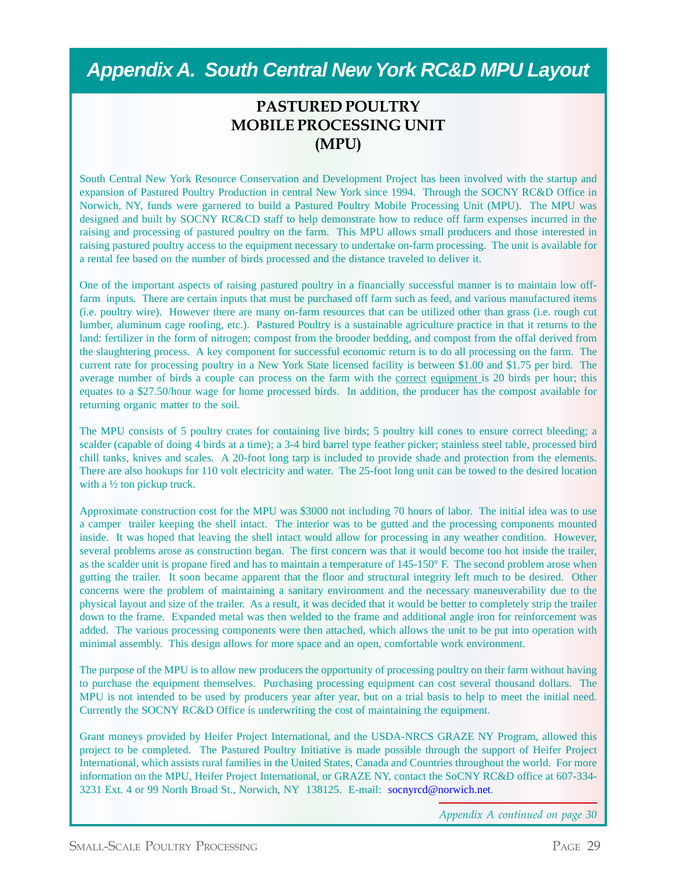### *Appendix A. South Central New York RC&D MPU Layout*

#### **PASTURED POULTRY MOBILE PROCESSING UNIT (MPU)**

South Central New York Resource Conservation and Development Project has been involved with the startup and expansion of Pastured Poultry Production in central New York since 1994. Through the SOCNY RC&D Office in Norwich, NY, funds were garnered to build a Pastured Poultry Mobile Processing Unit (MPU). The MPU was designed and built by SOCNY RC&CD staff to help demonstrate how to reduce off farm expenses incurred in the raising and processing of pastured poultry on the farm. This MPU allows small producers and those interested in raising pastured poultry access to the equipment necessary to undertake on-farm processing. The unit is available for a rental fee based on the number of birds processed and the distance traveled to deliver it.

One of the important aspects of raising pastured poultry in a financially successful manner is to maintain low offfarm inputs. There are certain inputs that must be purchased off farm such as feed, and various manufactured items (i.e. poultry wire). However there are many on-farm resources that can be utilized other than grass (i.e. rough cut lumber, aluminum cage roofing, etc.). Pastured Poultry is a sustainable agriculture practice in that it returns to the land: fertilizer in the form of nitrogen; compost from the brooder bedding, and compost from the offal derived from the slaughtering process. A key component for successful economic return is to do all processing on the farm. The current rate for processing poultry in a New York State licensed facility is between \$1.00 and \$1.75 per bird. The average number of birds a couple can process on the farm with the correct equipment is 20 birds per hour; this equates to a \$27.50/hour wage for home processed birds. In addition, the producer has the compost available for returning organic matter to the soil.

The MPU consists of 5 poultry crates for containing live birds; 5 poultry kill cones to ensure correct bleeding; a scalder (capable of doing 4 birds at a time); a 3-4 bird barrel type feather picker; stainless steel table, processed bird chill tanks, knives and scales. A 20-foot long tarp is included to provide shade and protection from the elements. There are also hookups for 110 volt electricity and water. The 25-foot long unit can be towed to the desired location with a  $\frac{1}{2}$  ton pickup truck.

Approximate construction cost for the MPU was \$3000 not including 70 hours of labor. The initial idea was to use a camper trailer keeping the shell intact. The interior was to be gutted and the processing components mounted inside. It was hoped that leaving the shell intact would allow for processing in any weather condition. However, several problems arose as construction began. The first concern was that it would become too hot inside the trailer, as the scalder unit is propane fired and has to maintain a temperature of 145-150° F. The second problem arose when gutting the trailer. It soon became apparent that the floor and structural integrity left much to be desired. Other concerns were the problem of maintaining a sanitary environment and the necessary maneuverability due to the physical layout and size of the trailer. As a result, it was decided that it would be better to completely strip the trailer down to the frame. Expanded metal was then welded to the frame and additional angle iron for reinforcement was added. The various processing components were then attached, which allows the unit to be put into operation with minimal assembly. This design allows for more space and an open, comfortable work environment.

The purpose of the MPU is to allow new producers the opportunity of processing poultry on their farm without having to purchase the equipment themselves. Purchasing processing equipment can cost several thousand dollars. The MPU is not intended to be used by producers year after year, but on a trial basis to help to meet the initial need. Currently the SOCNY RC&D Office is underwriting the cost of maintaining the equipment.

Grant moneys provided by Heifer Project International, and the USDA-NRCS GRAZE NY Program, allowed this project to be completed. The Pastured Poultry Initiative is made possible through the support of Heifer Project International, which assists rural families in the United States, Canada and Countries throughout the world. For more information on the MPU, Heifer Project International, or GRAZE NY, contact the SoCNY RC&D office at 607-334- 3231 Ext. 4 or 99 North Broad St., Norwich, NY 138125. E-mail: socnyrcd@norwich.net.

*Appendix A continued on page 30*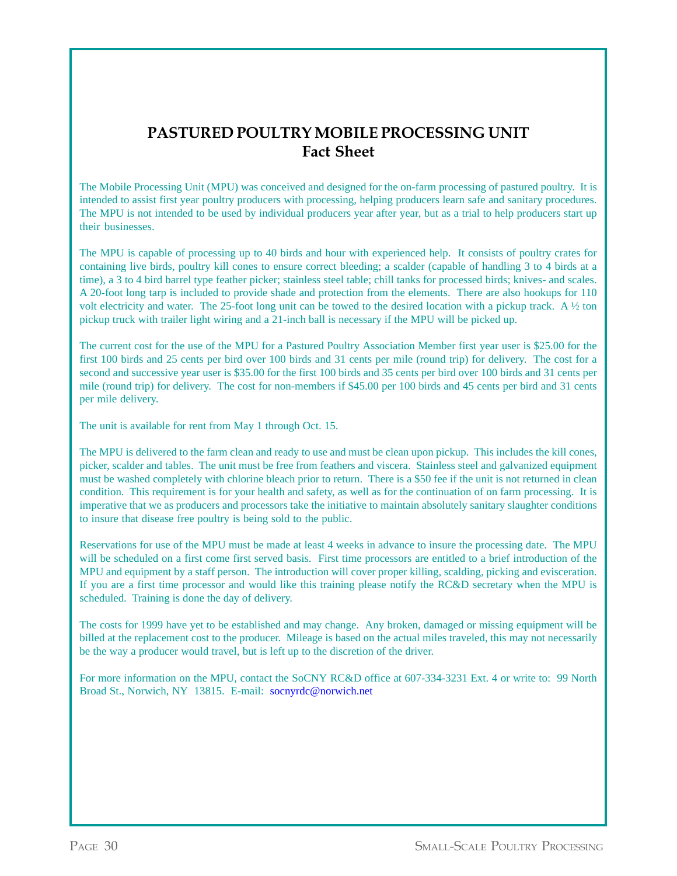#### **PASTURED POULTRY MOBILE PROCESSING UNIT Fact Sheet**

The Mobile Processing Unit (MPU) was conceived and designed for the on-farm processing of pastured poultry. It is intended to assist first year poultry producers with processing, helping producers learn safe and sanitary procedures. The MPU is not intended to be used by individual producers year after year, but as a trial to help producers start up their businesses.

The MPU is capable of processing up to 40 birds and hour with experienced help. It consists of poultry crates for containing live birds, poultry kill cones to ensure correct bleeding; a scalder (capable of handling 3 to 4 birds at a time), a 3 to 4 bird barrel type feather picker; stainless steel table; chill tanks for processed birds; knives- and scales. A 20-foot long tarp is included to provide shade and protection from the elements. There are also hookups for 110 volt electricity and water. The 25-foot long unit can be towed to the desired location with a pickup track. A  $\frac{1}{2}$  ton pickup truck with trailer light wiring and a 21-inch ball is necessary if the MPU will be picked up.

The current cost for the use of the MPU for a Pastured Poultry Association Member first year user is \$25.00 for the first 100 birds and 25 cents per bird over 100 birds and 31 cents per mile (round trip) for delivery. The cost for a second and successive year user is \$35.00 for the first 100 birds and 35 cents per bird over 100 birds and 31 cents per mile (round trip) for delivery. The cost for non-members if \$45.00 per 100 birds and 45 cents per bird and 31 cents per mile delivery.

The unit is available for rent from May 1 through Oct. 15.

The MPU is delivered to the farm clean and ready to use and must be clean upon pickup. This includes the kill cones, picker, scalder and tables. The unit must be free from feathers and viscera. Stainless steel and galvanized equipment must be washed completely with chlorine bleach prior to return. There is a \$50 fee if the unit is not returned in clean condition. This requirement is for your health and safety, as well as for the continuation of on farm processing. It is imperative that we as producers and processors take the initiative to maintain absolutely sanitary slaughter conditions to insure that disease free poultry is being sold to the public.

Reservations for use of the MPU must be made at least 4 weeks in advance to insure the processing date. The MPU will be scheduled on a first come first served basis. First time processors are entitled to a brief introduction of the MPU and equipment by a staff person. The introduction will cover proper killing, scalding, picking and evisceration. If you are a first time processor and would like this training please notify the RC&D secretary when the MPU is scheduled. Training is done the day of delivery.

The costs for 1999 have yet to be established and may change. Any broken, damaged or missing equipment will be billed at the replacement cost to the producer. Mileage is based on the actual miles traveled, this may not necessarily be the way a producer would travel, but is left up to the discretion of the driver.

For more information on the MPU, contact the SoCNY RC&D office at 607-334-3231 Ext. 4 or write to: 99 North Broad St., Norwich, NY 13815. E-mail: socnyrdc@norwich.net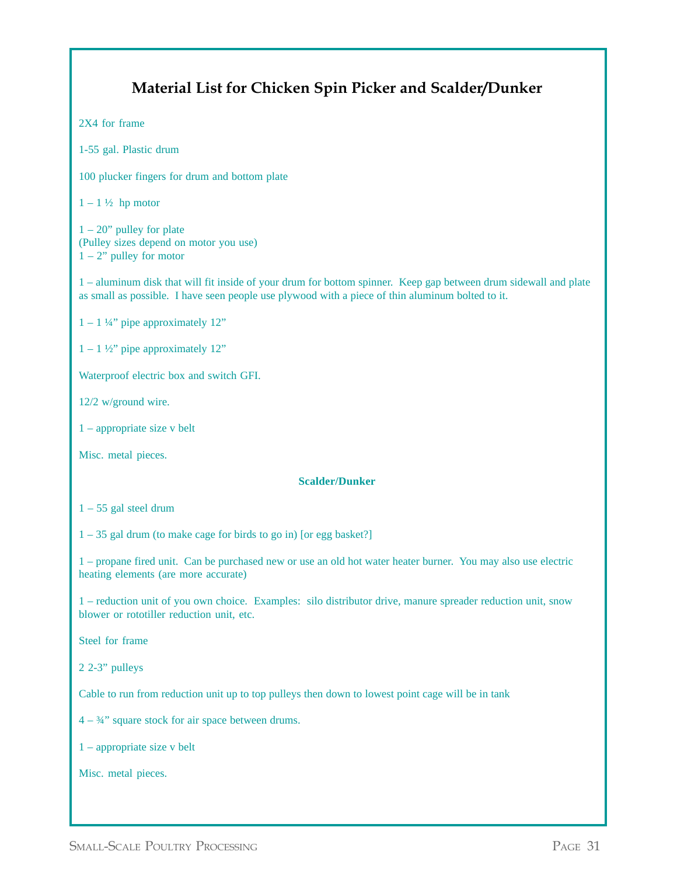### **Material List for Chicken Spin Picker and Scalder/Dunker** 2X4 for frame 1-55 gal. Plastic drum 100 plucker fingers for drum and bottom plate  $1 - 1\frac{1}{2}$  hp motor  $1 - 20$ " pulley for plate (Pulley sizes depend on motor you use)  $1 - 2$ " pulley for motor 1 – aluminum disk that will fit inside of your drum for bottom spinner. Keep gap between drum sidewall and plate as small as possible. I have seen people use plywood with a piece of thin aluminum bolted to it.  $1 - 1\frac{1}{4}$ " pipe approximately 12"  $1 - 1$  ½" pipe approximately 12" Waterproof electric box and switch GFI. 12/2 w/ground wire. 1 – appropriate size v belt Misc. metal pieces. **Scalder/Dunker**  $1 - 55$  gal steel drum 1 – 35 gal drum (to make cage for birds to go in) [or egg basket?] 1 – propane fired unit. Can be purchased new or use an old hot water heater burner. You may also use electric heating elements (are more accurate) 1 – reduction unit of you own choice. Examples: silo distributor drive, manure spreader reduction unit, snow blower or rototiller reduction unit, etc. Steel for frame 2 2-3" pulleys Cable to run from reduction unit up to top pulleys then down to lowest point cage will be in tank  $4 - \frac{3}{4}$ " square stock for air space between drums. 1 – appropriate size v belt Misc. metal pieces.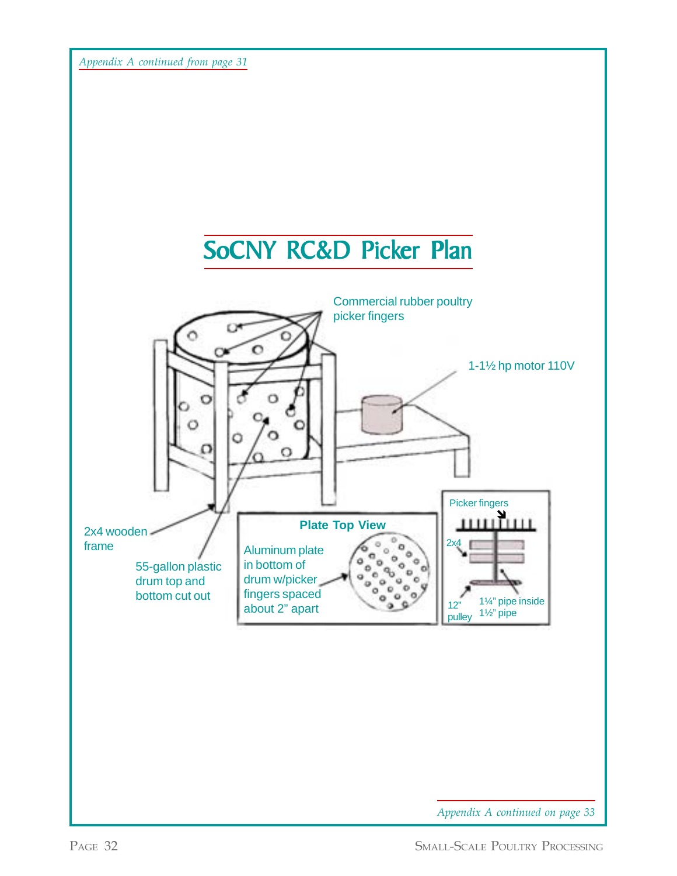*Appendix A continued from page 31*

![](_page_31_Figure_1.jpeg)

![](_page_31_Figure_2.jpeg)

*Appendix A continued on page 33*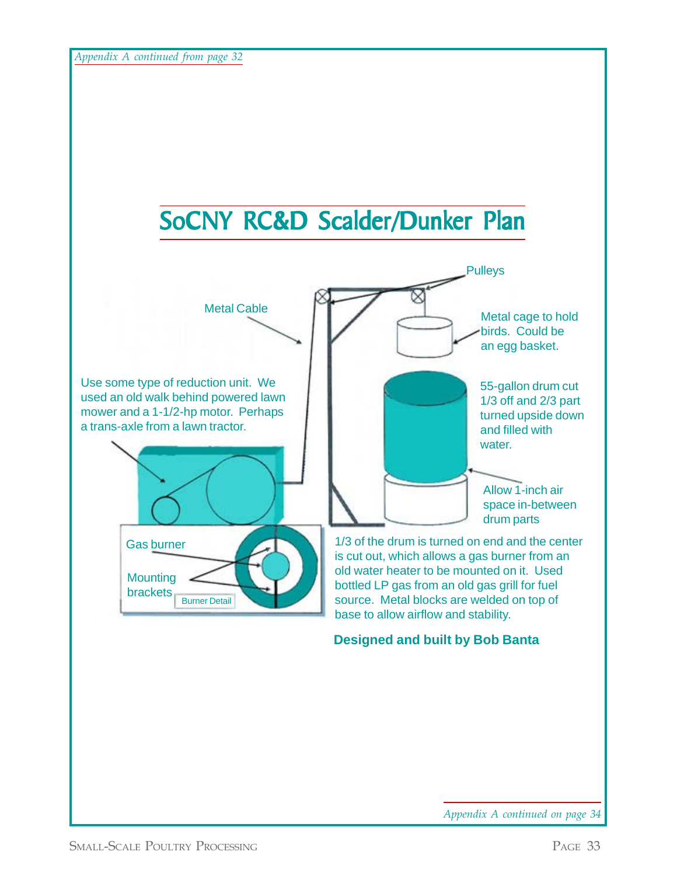![](_page_32_Figure_1.jpeg)

![](_page_32_Figure_2.jpeg)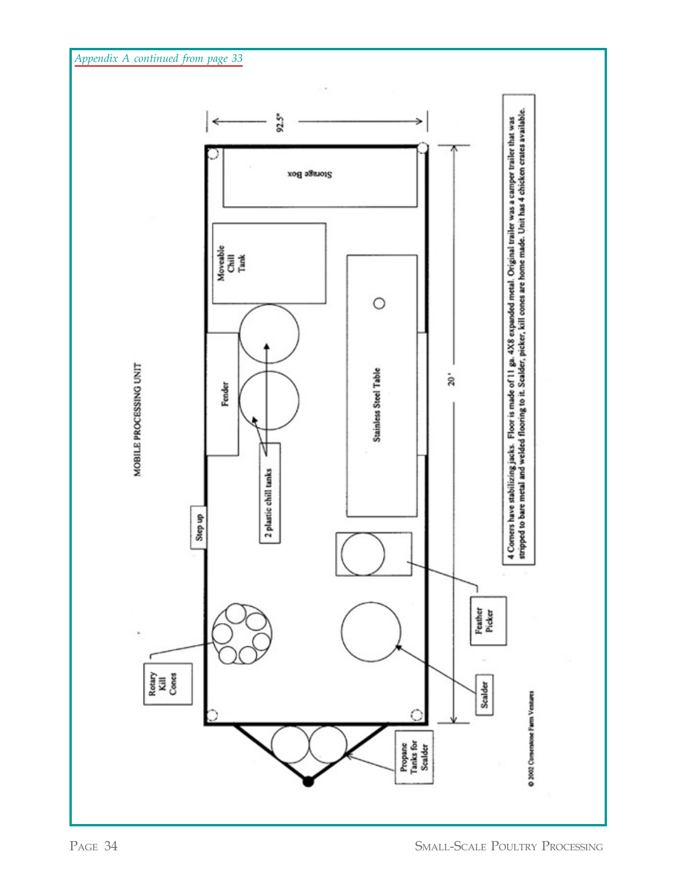*Appendix A continued from page 33*

![](_page_33_Figure_1.jpeg)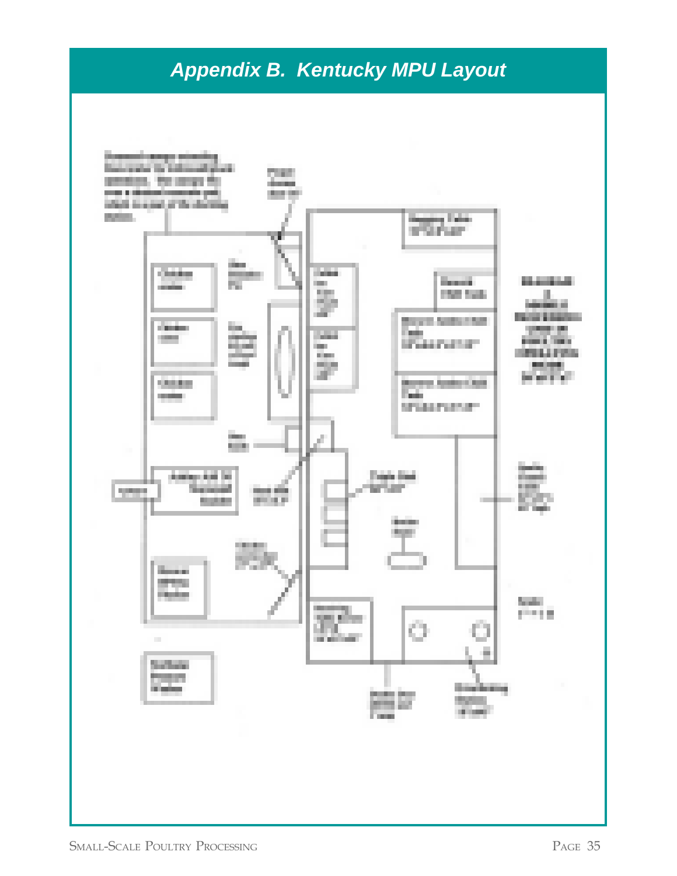### *Appendix B. Kentucky MPU Layout*

![](_page_34_Figure_1.jpeg)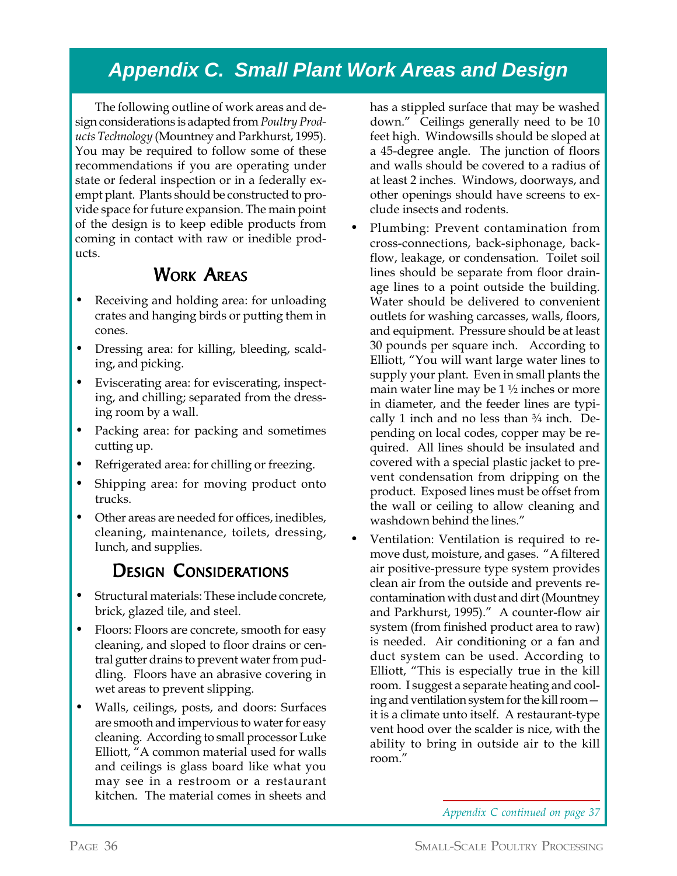### *Appendix C. Small Plant Work Areas and Design*

The following outline of work areas and design considerations is adapted from *Poultry Products Technology* (Mountney and Parkhurst, 1995). You may be required to follow some of these recommendations if you are operating under state or federal inspection or in a federally exempt plant. Plants should be constructed to provide space for future expansion. The main point of the design is to keep edible products from coming in contact with raw or inedible products.

### WORK AREAS

- Receiving and holding area: for unloading crates and hanging birds or putting them in cones.
- Dressing area: for killing, bleeding, scalding, and picking.
- Eviscerating area: for eviscerating, inspecting, and chilling; separated from the dressing room by a wall.
- Packing area: for packing and sometimes cutting up.
- Refrigerated area: for chilling or freezing.
- Shipping area: for moving product onto trucks.
- Other areas are needed for offices, inedibles, cleaning, maintenance, toilets, dressing, lunch, and supplies.

### DESIGN CONSIDERATIONS

- Structural materials: These include concrete, brick, glazed tile, and steel.
- Floors: Floors are concrete, smooth for easy cleaning, and sloped to floor drains or central gutter drains to prevent water from puddling. Floors have an abrasive covering in wet areas to prevent slipping.
- Walls, ceilings, posts, and doors: Surfaces are smooth and impervious to water for easy cleaning. According to small processor Luke Elliott, "A common material used for walls and ceilings is glass board like what you may see in a restroom or a restaurant kitchen. The material comes in sheets and

has a stippled surface that may be washed down." Ceilings generally need to be 10 feet high. Windowsills should be sloped at a 45-degree angle. The junction of floors and walls should be covered to a radius of at least 2 inches. Windows, doorways, and other openings should have screens to exclude insects and rodents.

- Plumbing: Prevent contamination from cross-connections, back-siphonage, backflow, leakage, or condensation. Toilet soil lines should be separate from floor drainage lines to a point outside the building. Water should be delivered to convenient outlets for washing carcasses, walls, floors, and equipment. Pressure should be at least 30 pounds per square inch. According to Elliott, "You will want large water lines to supply your plant. Even in small plants the main water line may be  $1\frac{1}{2}$  inches or more in diameter, and the feeder lines are typically 1 inch and no less than  $\frac{3}{4}$  inch. Depending on local codes, copper may be required. All lines should be insulated and covered with a special plastic jacket to prevent condensation from dripping on the product. Exposed lines must be offset from the wall or ceiling to allow cleaning and washdown behind the lines."
- Ventilation: Ventilation is required to remove dust, moisture, and gases. "A filtered air positive-pressure type system provides clean air from the outside and prevents recontamination with dust and dirt (Mountney and Parkhurst, 1995)." A counter-flow air system (from finished product area to raw) is needed. Air conditioning or a fan and duct system can be used. According to Elliott, "This is especially true in the kill room. I suggest a separate heating and cooling and ventilation system for the kill room it is a climate unto itself. A restaurant-type vent hood over the scalder is nice, with the ability to bring in outside air to the kill room."

*Appendix C continued on page 37*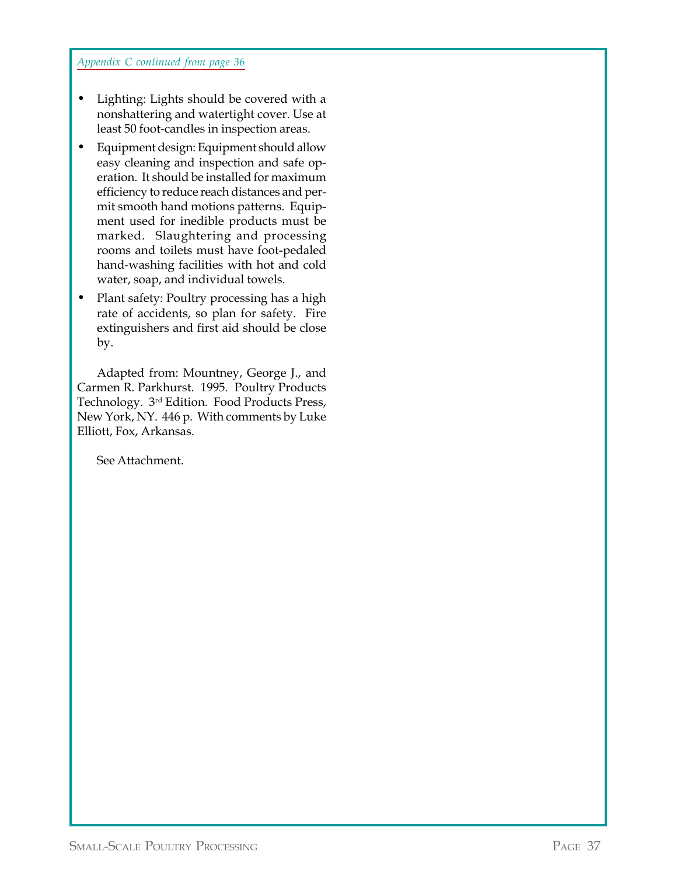*Appendix C continued from page 36*

- Lighting: Lights should be covered with a nonshattering and watertight cover. Use at least 50 foot-candles in inspection areas.
- Equipment design: Equipment should allow easy cleaning and inspection and safe operation. It should be installed for maximum efficiency to reduce reach distances and permit smooth hand motions patterns. Equipment used for inedible products must be marked. Slaughtering and processing rooms and toilets must have foot-pedaled hand-washing facilities with hot and cold water, soap, and individual towels.
- Plant safety: Poultry processing has a high rate of accidents, so plan for safety. Fire extinguishers and first aid should be close by.

Adapted from: Mountney, George J., and Carmen R. Parkhurst. 1995. Poultry Products Technology. 3rd Edition. Food Products Press, New York, NY. 446 p. With comments by Luke Elliott, Fox, Arkansas.

See Attachment.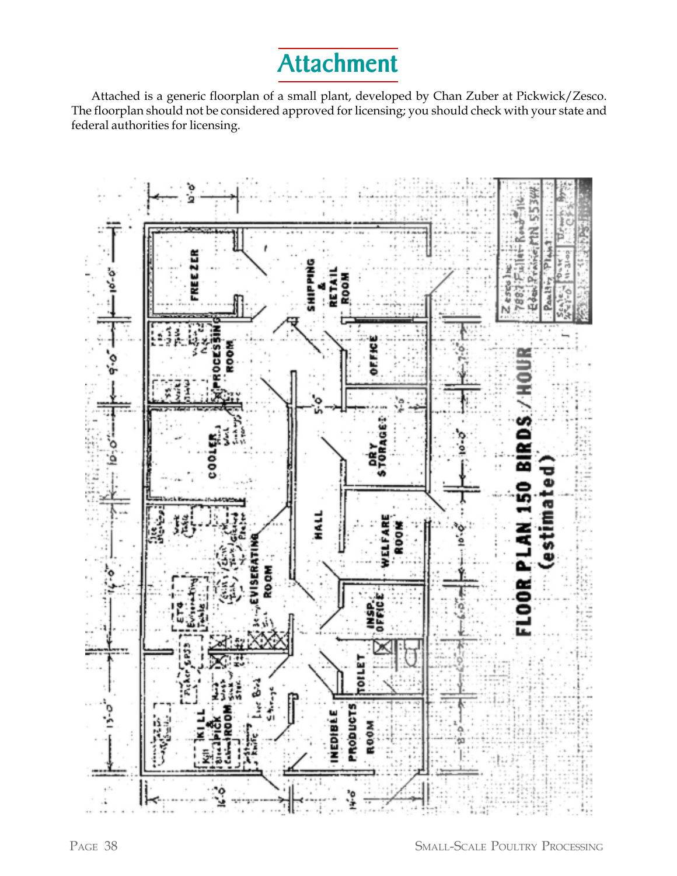## **Attachment**

Attached is a generic floorplan of a small plant, developed by Chan Zuber at Pickwick/Zesco. The floorplan should not be considered approved for licensing; you should check with your state and federal authorities for licensing.

![](_page_37_Figure_2.jpeg)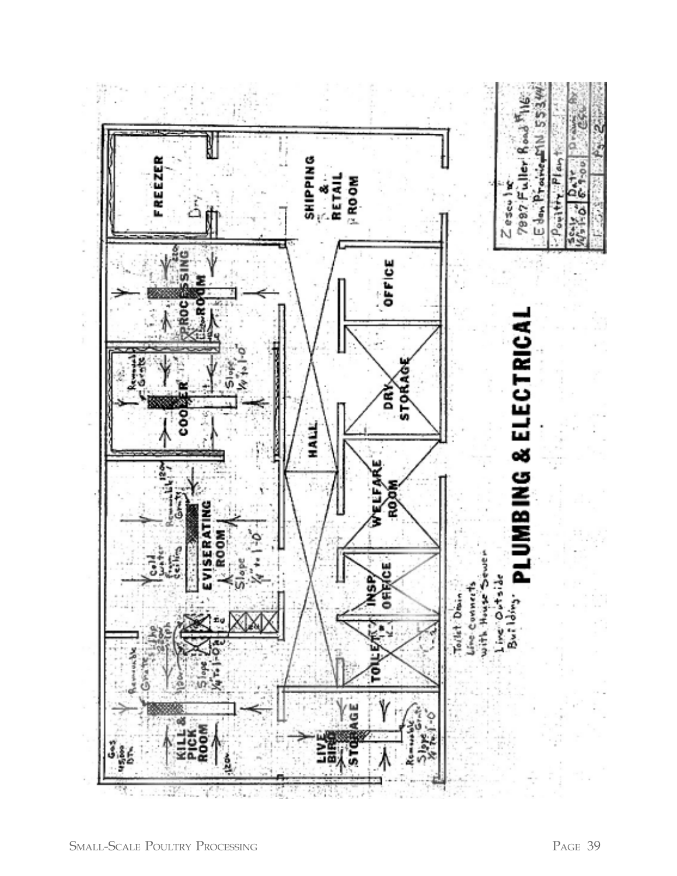![](_page_38_Figure_0.jpeg)